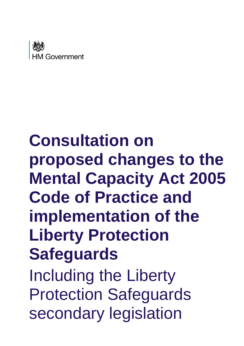

# **Consultation on proposed changes to the Mental Capacity Act 2005 Code of Practice and implementation of the Liberty Protection Safeguards** Including the Liberty Protection Safeguards secondary legislation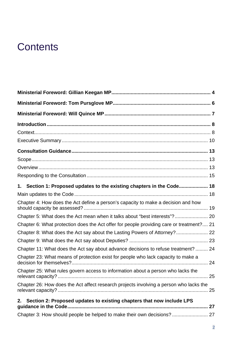## **Contents**

| 1. Section 1: Proposed updates to the existing chapters in the Code 18                               |    |
|------------------------------------------------------------------------------------------------------|----|
|                                                                                                      |    |
| Chapter 4: How does the Act define a person's capacity to make a decision and how                    |    |
| Chapter 5: What does the Act mean when it talks about "best interests"? 20                           |    |
| Chapter 6: What protection does the Act offer for people providing care or treatment? 21             |    |
| Chapter 8: What does the Act say about the Lasting Powers of Attorney? 22                            |    |
|                                                                                                      |    |
| Chapter 11: What does the Act say about advance decisions to refuse treatment?  24                   |    |
| Chapter 23: What means of protection exist for people who lack capacity to make a                    |    |
| Chapter 25: What rules govern access to information about a person who lacks the                     |    |
| Chapter 26: How does the Act affect research projects involving a person who lacks the               | 25 |
| Section 2: Proposed updates to existing chapters that now include LPS<br>2.<br>guidance in the Code. | 27 |
| Chapter 3: How should people be helped to make their own decisions?  27                              |    |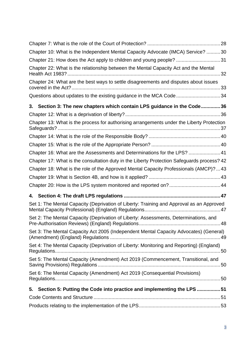| Set 6: The Mental Capacity (Amendment) Act 2019 (Consequential Provisions)                 |  |
|--------------------------------------------------------------------------------------------|--|
|                                                                                            |  |
| Set 5: The Mental Capacity (Amendment) Act 2019 (Commencement, Transitional, and           |  |
| Set 4: The Mental Capacity (Deprivation of Liberty: Monitoring and Reporting) (England)    |  |
| Set 3: The Mental Capacity Act 2005 (Independent Mental Capacity Advocates) (General)      |  |
| Set 2: The Mental Capacity (Deprivation of Liberty: Assessments, Determinations, and       |  |
| Set 1: The Mental Capacity (Deprivation of Liberty: Training and Approval as an Approved   |  |
|                                                                                            |  |
| Chapter 20: How is the LPS system monitored and reported on? 44                            |  |
|                                                                                            |  |
| Chapter 18: What is the role of the Approved Mental Capacity Professionals (AMCP)?  43     |  |
| Chapter 17: What is the consultation duty in the Liberty Protection Safeguards process? 42 |  |
| Chapter 16: What are the Assessments and Determinations for the LPS?  41                   |  |
|                                                                                            |  |
|                                                                                            |  |
| Chapter 13: What is the process for authorising arrangements under the Liberty Protection  |  |
|                                                                                            |  |
| 3. Section 3: The new chapters which contain LPS guidance in the Code36                    |  |
| Questions about updates to the existing guidance in the MCA Code 34                        |  |
| Chapter 24: What are the best ways to settle disagreements and disputes about issues       |  |
| Chapter 22: What is the relationship between the Mental Capacity Act and the Mental        |  |
| Chapter 21: How does the Act apply to children and young people? 31                        |  |
| Chapter 10: What is the Independent Mental Capacity Advocate (IMCA) Service? 30            |  |
|                                                                                            |  |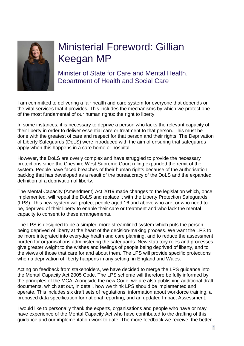

## <span id="page-3-0"></span>Ministerial Foreword: Gillian Keegan MP

Minister of State for Care and Mental Health, Department of Health and Social Care

I am committed to delivering a fair health and care system for everyone that depends on the vital services that it provides. This includes the mechanisms by which we protect one of the most fundamental of our human rights: the right to liberty.

In some instances, it is necessary to deprive a person who lacks the relevant capacity of their liberty in order to deliver essential care or treatment to that person. This must be done with the greatest of care and respect for that person and their rights. The Deprivation of Liberty Safeguards (DoLS) were introduced with the aim of ensuring that safeguards apply when this happens in a care home or hospital.

However, the DoLS are overly complex and have struggled to provide the necessary protections since the Cheshire West Supreme Court ruling expanded the remit of the system. People have faced breaches of their human rights because of the authorisation backlog that has developed as a result of the bureaucracy of the DoLS and the expanded definition of a deprivation of liberty.

The Mental Capacity (Amendment) Act 2019 made changes to the legislation which, once implemented, will repeal the DoLS and replace it with the Liberty Protection Safeguards (LPS). This new system will protect people aged 16 and above who are, or who need to be, deprived of their liberty to enable their care or treatment and who lack the mental capacity to consent to these arrangements.

The LPS is designed to be a simpler, more streamlined system which puts the person being deprived of liberty at the heart of the decision-making process. We want the LPS to be more integrated into everyday health and care planning, and to reduce the assessment burden for organisations administering the safeguards. New statutory roles and processes give greater weight to the wishes and feelings of people being deprived of liberty, and to the views of those that care for and about them. The LPS will provide specific protections when a deprivation of liberty happens in any setting, in England and Wales.

Acting on feedback from stakeholders, we have decided to merge the LPS guidance into the Mental Capacity Act 2005 Code. The LPS scheme will therefore be fully informed by the principles of the MCA. Alongside the new Code, we are also publishing additional draft documents, which set out, in detail, how we think LPS should be implemented and operate. This includes six draft sets of regulations, information about workforce training, a proposed data specification for national reporting, and an updated Impact Assessment.

I would like to personally thank the experts, organisations and people who have or may have experience of the Mental Capacity Act who have contributed to the drafting of this guidance and our implementation work to date. The more feedback we receive, the better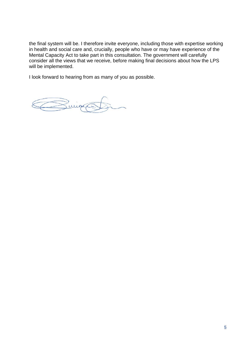the final system will be. I therefore invite everyone, including those with expertise working in health and social care and, crucially, people who have or may have experience of the Mental Capacity Act to take part in this consultation. The government will carefully consider all the views that we receive, before making final decisions about how the LPS will be implemented.

I look forward to hearing from as many of you as possible.

Buigo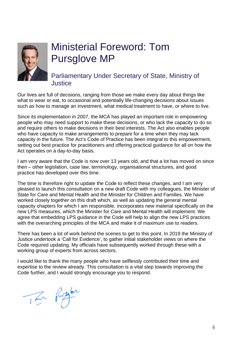

## <span id="page-5-0"></span>Ministerial Foreword: Tom Pursglove MP

## Parliamentary Under Secretary of State, Ministry of **Justice**

Our lives are full of decisions, ranging from those we make every day about things like what to wear or eat, to occasional and potentially life-changing decisions about issues such as how to manage an investment, what medical treatment to have, or where to live.

Since its implementation in 2007, the MCA has played an important role in empowering people who may need support to make these decisions, or who lack the capacity to do so and require others to make decisions in their best interests. The Act also enables people who have capacity to make arrangements to prepare for a time when they may lack capacity in the future. The Act's Code of Practice has been integral to this empowerment, setting out best practice for practitioners and offering practical guidance for all on how the Act operates on a day-to-day basis.

I am very aware that the Code is now over 13 years old, and that a lot has moved on since then – other legislation, case law, terminology, organisational structures, and good practice has developed over this time.

The time is therefore right to update the Code to reflect these changes, and I am very pleased to launch this consultation on a new draft Code with my colleagues, the Minister of State for Care and Mental Health and the Minister for Children and Families. We have worked closely together on this draft which, as well as updating the general mental capacity chapters for which I am responsible, incorporates new material specifically on the new LPS measures, which the Minister for Care and Mental Health will implement. We agree that embedding LPS guidance in the Code will help to align the new LPS practices with the overarching principles of the MCA and make it of maximum use to readers.

There has been a lot of work behind the scenes to get to this point. In 2019 the Ministry of Justice undertook a 'Call for Evidence', to gather initial stakeholder views on where the Code required updating. My officials have subsequently worked through these with a working group of experts from across sectors.

I would like to thank the many people who have selflessly contributed their time and expertise to the review already. This consultation is a vital step towards improving the Code further, and I would strongly encourage you to respond.

The Purger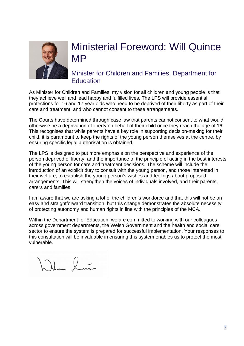

## <span id="page-6-0"></span>Ministerial Foreword: Will Quince MP

Minister for Children and Families, Department for **Education** 

As Minister for Children and Families, my vision for all children and young people is that they achieve well and lead happy and fulfilled lives. The LPS will provide essential protections for 16 and 17 year olds who need to be deprived of their liberty as part of their care and treatment, and who cannot consent to these arrangements.

The Courts have determined through case law that parents cannot consent to what would otherwise be a deprivation of liberty on behalf of their child once they reach the age of 16. This recognises that while parents have a key role in supporting decision-making for their child, it is paramount to keep the rights of the young person themselves at the centre, by ensuring specific legal authorisation is obtained.

The LPS is designed to put more emphasis on the perspective and experience of the person deprived of liberty, and the importance of the principle of acting in the best interests of the young person for care and treatment decisions. The scheme will include the introduction of an explicit duty to consult with the young person, and those interested in their welfare, to establish the young person's wishes and feelings about proposed arrangements. This will strengthen the voices of individuals involved, and their parents, carers and families.

I am aware that we are asking a lot of the children's workforce and that this will not be an easy and straightforward transition, but this change demonstrates the absolute necessity of protecting autonomy and human rights in line with the principles of the MCA.

Within the Department for Education, we are committed to working with our colleagues across government departments, the Welsh Government and the health and social care sector to ensure the system is prepared for successful implementation. Your responses to this consultation will be invaluable in ensuring this system enables us to protect the most vulnerable.

Wilm lim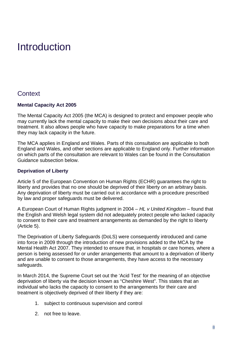## <span id="page-7-0"></span>Introduction

## <span id="page-7-1"></span>**Context**

#### **Mental Capacity Act 2005**

The Mental Capacity Act 2005 (the MCA) is designed to protect and empower people who may currently lack the mental capacity to make their own decisions about their care and treatment. It also allows people who have capacity to make preparations for a time when they may lack capacity in the future.

The MCA applies in England and Wales. Parts of this consultation are applicable to both England and Wales, and other sections are applicable to England only. Further information on which parts of the consultation are relevant to Wales can be found in the Consultation Guidance subsection below.

#### **Deprivation of Liberty**

Article 5 of the European Convention on Human Rights (ECHR) guarantees the right to liberty and provides that no one should be deprived of their liberty on an arbitrary basis. Any deprivation of liberty must be carried out in accordance with a procedure prescribed by law and proper safeguards must be delivered.

A European Court of Human Rights judgment in 2004 – *HL v United Kingdom* – found that the English and Welsh legal system did not adequately protect people who lacked capacity to consent to their care and treatment arrangements as demanded by the right to liberty (Article 5).

The Deprivation of Liberty Safeguards (DoLS) were consequently introduced and came into force in 2009 through the introduction of new provisions added to the MCA by the Mental Health Act 2007. They intended to ensure that, in hospitals or care homes, where a person is being assessed for or under arrangements that amount to a deprivation of liberty and are unable to consent to those arrangements, they have access to the necessary safeguards.

In March 2014, the Supreme Court set out the 'Acid Test' for the meaning of an objective deprivation of liberty via the decision known as "Cheshire West". This states that an individual who lacks the capacity to consent to the arrangements for their care and treatment is objectively deprived of their liberty if they are:

- 1. subject to continuous supervision and control
- 2. not free to leave.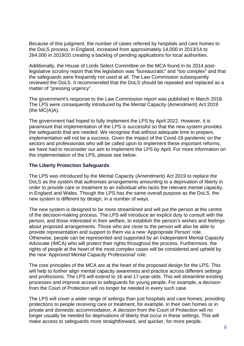Because of this judgment, the number of cases referred by hospitals and care homes to the DoLS process, in England, increased from approximately 14,000 in 2013/14 to 264,000 in 2019/20 creating a backlog of pending applications for local authorities.

Additionally, the House of Lords Select Committee on the MCA found in its 2014 postlegislative scrutiny report that the legislation was "bureaucratic" and "too complex" and that the safeguards were frequently not used at all. The Law Commission subsequently reviewed the DoLS. It recommended that the DoLS should be repealed and replaced as a matter of "pressing urgency".

The government's response to the Law Commission report was published in March 2018. The LPS were consequently introduced by the Mental Capacity (Amendment) Act 2019  $(the MC(A)A).$ 

The government had hoped to fully implement the LPS by April 2022. However, it is paramount that implementation of the LPS is successful so that the new system provides the safeguards that are needed. We recognise that without adequate time to prepare, implementation will not be a success. Given the impact of the Covid-19 pandemic on the sectors and professionals who will be called upon to implement these important reforms, we have had to reconsider our aim to implement the LPS by April. For more information on the implementation of the LPS, please see below.

#### **The Liberty Protection Safeguards**

The LPS was introduced by the Mental Capacity (Amendment) Act 2019 to replace the DoLS as the system that authorises arrangements amounting to a deprivation of liberty in order to provide care or treatment to an individual who lacks the relevant mental capacity, in England and Wales. Though the LPS has the same overall purpose as the DoLS, the new system is different by design, in a number of ways.

The new system is designed to be more streamlined and will put the person at the centre of the decision-making process. The LPS will introduce an explicit duty to consult with the person, and those interested in their welfare, to establish the person's wishes and feelings about proposed arrangements. Those who are close to the person will also be able to provide representation and support to them via a new 'Appropriate Person' role. Otherwise, people can be represented and supported by an Independent Mental Capacity Advocate (IMCA) who will protect their rights throughout the process. Furthermore, the rights of people at the heart of the most complex cases will be considered and upheld by the new 'Approved Mental Capacity Professional' role.

The core principles of the MCA are at the heart of the proposed design for the LPS. This will help to further align mental capacity awareness and practice across different settings and professions. The LPS will extend to 16 and 17-year-olds. This will streamline existing processes and improve access to safeguards for young people. For example, a decision from the Court of Protection will no longer be needed in every such case.

The LPS will cover a wider range of settings than just hospitals and care homes, providing protections to people receiving care or treatment, for example, in their own homes or in private and domestic accommodation. A decision from the Court of Protection will no longer usually be needed for deprivations of liberty that occur in these settings. This will make access to safeguards more straightforward, and quicker, for more people.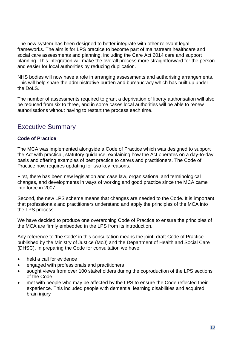The new system has been designed to better integrate with other relevant legal frameworks. The aim is for LPS practice to become part of mainstream healthcare and social care assessments and planning, including the Care Act 2014 care and support planning. This integration will make the overall process more straightforward for the person and easier for local authorities by reducing duplication.

NHS bodies will now have a role in arranging assessments and authorising arrangements. This will help share the administrative burden and bureaucracy which has built up under the DoLS.

The number of assessments required to grant a deprivation of liberty authorisation will also be reduced from six to three, and in some cases local authorities will be able to renew authorisations without having to restart the process each time.

## <span id="page-9-0"></span>Executive Summary

#### **Code of Practice**

The MCA was implemented alongside a Code of Practice which was designed to support the Act with practical, statutory guidance, explaining how the Act operates on a day-to-day basis and offering examples of best practice to carers and practitioners. The Code of Practice now requires updating for two key reasons.

First, there has been new legislation and case law, organisational and terminological changes, and developments in ways of working and good practice since the MCA came into force in 2007.

Second, the new LPS scheme means that changes are needed to the Code. It is important that professionals and practitioners understand and apply the principles of the MCA into the LPS process.

We have decided to produce one overarching Code of Practice to ensure the principles of the MCA are firmly embedded in the LPS from its introduction.

Any reference to 'the Code' in this consultation means the joint, draft Code of Practice published by the Ministry of Justice (MoJ) and the Department of Health and Social Care (DHSC). In preparing the Code for consultation we have:

- held a call for evidence
- engaged with professionals and practitioners
- sought views from over 100 stakeholders during the coproduction of the LPS sections of the Code
- met with people who may be affected by the LPS to ensure the Code reflected their experience. This included people with dementia, learning disabilities and acquired brain injury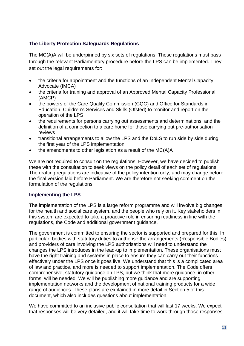#### **The Liberty Protection Safeguards Regulations**

The MC(A)A will be underpinned by six sets of regulations. These regulations must pass through the relevant Parliamentary procedure before the LPS can be implemented. They set out the legal requirements for:

- the criteria for appointment and the functions of an Independent Mental Capacity Advocate (IMCA)
- the criteria for training and approval of an Approved Mental Capacity Professional (AMCP)
- the powers of the Care Quality Commission (CQC) and Office for Standards in Education, Children's Services and Skills (Ofsted) to monitor and report on the operation of the LPS
- the requirements for persons carrying out assessments and determinations, and the definition of a connection to a care home for those carrying out pre-authorisation reviews
- transitional arrangements to allow the LPS and the DoLS to run side by side during the first year of the LPS implementation
- the amendments to other legislation as a result of the  $MC(A)A$

We are not required to consult on the regulations. However, we have decided to publish these with the consultation to seek views on the policy detail of each set of regulations. The drafting regulations are indicative of the policy intention only, and may change before the final version laid before Parliament. We are therefore not seeking comment on the formulation of the regulations.

#### **Implementing the LPS**

The implementation of the LPS is a large reform programme and will involve big changes for the health and social care system, and the people who rely on it. Key stakeholders in this system are expected to take a proactive role in ensuring readiness in line with the regulations, the Code and additional government guidance.

The government is committed to ensuring the sector is supported and prepared for this. In particular, bodies with statutory duties to authorise the arrangements (Responsible Bodies) and providers of care involving the LPS authorisations will need to understand the changes the LPS introduces in the lead-up to implementation. These organisations must have the right training and systems in place to ensure they can carry out their functions effectively under the LPS once it goes live. We understand that this is a complicated area of law and practice, and more is needed to support implementation. The Code offers comprehensive, statutory guidance on LPS, but we think that more guidance, in other forms, will be needed. We will be publishing more guidance and are supporting implementation networks and the development of national training products for a wide range of audiences. These plans are explained in more detail in Section 5 of this document, which also includes questions about implementation.

We have committed to an inclusive public consultation that will last 17 weeks. We expect that responses will be very detailed, and it will take time to work through those responses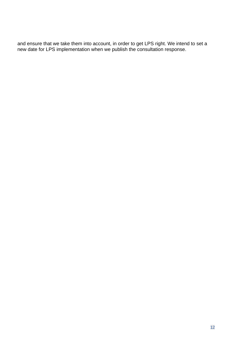and ensure that we take them into account, in order to get LPS right. We intend to set a new date for LPS implementation when we publish the consultation response.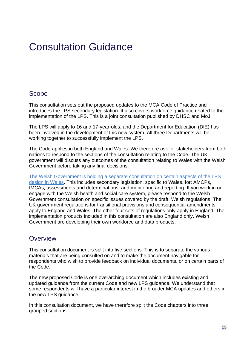## <span id="page-12-0"></span>Consultation Guidance

## <span id="page-12-1"></span>Scope

This consultation sets out the proposed updates to the MCA Code of Practice and introduces the LPS secondary legislation. It also covers workforce guidance related to the implementation of the LPS. This is a joint consultation published by DHSC and MoJ.

The LPS will apply to 16 and 17-year-olds, and the Department for Education (DfE) has been involved in the development of this new system. All three Departments will be working together to successfully implement the LPS.

The Code applies in both England and Wales. We therefore ask for stakeholders from both nations to respond to the sections of the consultation relating to the Code. The UK government will discuss any outcomes of the consultation relating to Wales with the Welsh Government before taking any final decisions.

The Welsh Government is [holding a separate consultation on certain aspects of the LPS](https://gov.wales/liberty-protection-safeguards)  [design in Wales.](https://gov.wales/liberty-protection-safeguards) This includes secondary legislation, specific to Wales, for: AMCPs, IMCAs, assessments and determinations, and monitoring and reporting. If you work in or engage with the Welsh health and social care system, please respond to the Welsh Government consultation on specific issues covered by the draft, Welsh regulations. The UK government regulations for transitional provisions and consequential amendments apply to England and Wales. The other four sets of regulations only apply in England. The implementation products included in this consultation are also England only. Welsh Government are developing their own workforce and data products.

## <span id="page-12-2"></span>**Overview**

This consultation document is split into five sections. This is to separate the various materials that are being consulted on and to make the document navigable for respondents who wish to provide feedback on individual documents, or on certain parts of the Code.

The new proposed Code is one overarching document which includes existing and updated guidance from the current Code and new LPS guidance. We understand that some respondents will have a particular interest in the broader MCA updates and others in the new LPS guidance.

In this consultation document, we have therefore split the Code chapters into three grouped sections: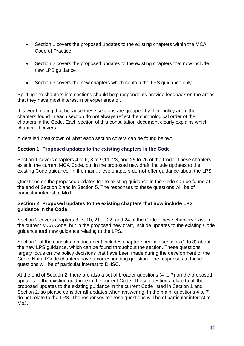- Section 1 covers the proposed updates to the existing chapters within the MCA Code of Practice
- Section 2 covers the proposed updates to the existing chapters that now include new LPS guidance
- Section 3 covers the new chapters which contain the LPS guidance only

Splitting the chapters into sections should help respondents provide feedback on the areas that they have most interest in or experience of.

It is worth noting that because these sections are grouped by their policy area, the chapters found in each section do not always reflect the chronological order of the chapters in the Code. Each section of this consultation document clearly explains which chapters it covers.

A detailed breakdown of what each section covers can be found below:

#### **Section 1: Proposed updates to the existing chapters in the Code**

Section 1 covers chapters 4 to 6, 8 to 9,11, 23, and 25 to 26 of the Code. These chapters exist in the current MCA Code, but in the proposed new draft, include updates to the existing Code guidance. In the main, these chapters do **not** offer guidance about the LPS.

Questions on the proposed updates to the existing guidance in the Code can be found at the end of Section 2 and in Section 5. The responses to these questions will be of particular interest to MoJ.

#### **Section 2: Proposed updates to the existing chapters that now include LPS guidance in the Code**

Section 2 covers chapters 3, 7, 10, 21 to 22, and 24 of the Code. These chapters exist in the current MCA Code, but in the proposed new draft, include updates to the existing Code guidance **and** new guidance relating to the LPS.

Section 2 of the consultation document includes chapter-specific questions (1 to 3) about the new LPS guidance, which can be found throughout the section. These questions largely focus on the policy decisions that have been made during the development of the Code. Not all Code chapters have a corresponding question. The responses to these questions will be of particular interest to DHSC.

At the end of Section 2, there are also a set of broader questions (4 to 7) on the proposed updates to the existing guidance in the current Code. These questions relate to all the proposed updates to the existing guidance in the current Code listed in Section 1 and Section 2, so please consider **all** updates when answering. In the main, questions 4 to 7 do not relate to the LPS. The responses to these questions will be of particular interest to MoJ.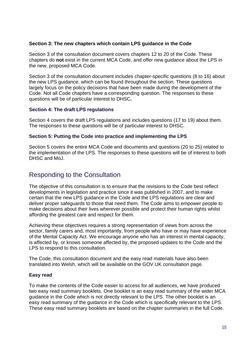#### **Section 3: The new chapters which contain LPS guidance in the Code**

Section 3 of the consultation document covers chapters 12 to 20 of the Code. These chapters do **not** exist in the current MCA Code, and offer new guidance about the LPS in the new, proposed MCA Code.

Section 3 of the consultation document includes chapter-specific questions (8 to 16) about the new LPS guidance, which can be found throughout the section. These questions largely focus on the policy decisions that have been made during the development of the Code. Not all Code chapters have a corresponding question. The responses to these questions will be of particular interest to DHSC**.** 

#### **Section 4: The draft LPS regulations**

Section 4 covers the draft LPS regulations and includes questions (17 to 19) about them. The responses to these questions will be of particular interest to DHSC.

#### **Section 5: Putting the Code into practice and implementing the LPS**

Section 5 covers the entire MCA Code and documents and questions (20 to 25) related to the implementation of the LPS. The responses to these questions will be of interest to both DHSC and MoJ.

## <span id="page-14-0"></span>Responding to the Consultation

The objective of this consultation is to ensure that the revisions to the Code best reflect developments in legislation and practice since it was published in 2007, and to make certain that the new LPS guidance in the Code and the LPS regulations are clear and deliver proper safeguards to those that need them. The Code aims to empower people to make decisions about their lives wherever possible and protect their human rights whilst affording the greatest care and respect for them.

Achieving these objectives requires a strong representation of views from across the sector, family carers and, most importantly, from people who have or may have experience of the Mental Capacity Act. We encourage anyone who has an interest in mental capacity, is affected by, or knows someone affected by, the proposed updates to the Code and the LPS to respond to this consultation.

The Code, this consultation document and the easy read materials have also been translated into Welsh, which will be available on the GOV.UK consultation page.

#### **Easy read**

To make the contents of the Code easier to access for all audiences, we have produced two easy read summary booklets. One booklet is an easy read summary of the wider MCA guidance in the Code which is not directly relevant to the LPS. The other booklet is an easy read summary of the guidance in the Code which is specifically relevant to the LPS. These easy read summary booklets are based on the chapter summaries in the full Code.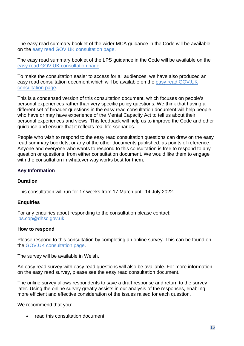The easy read summary booklet of the wider MCA guidance in the Code will be available on the easy read [GOV.UK consultation page.](https://www.gov.uk/government/consultations/changes-to-the-law-and-guidance-about-making-your-own-decisions-easy-read)

The easy read summary booklet of the LPS guidance in the Code will be available on the [easy read GOV.UK consultation page.](https://www.gov.uk/government/consultations/changes-to-the-law-and-guidance-about-making-your-own-decisions-easy-read)

To make the consultation easier to access for all audiences, we have also produced an easy read consultation document which will be available on the [easy read](https://www.gov.uk/government/consultations/changes-to-the-law-and-guidance-about-making-your-own-decisions-easy-read) GOV.UK [consultation page.](https://www.gov.uk/government/consultations/changes-to-the-law-and-guidance-about-making-your-own-decisions-easy-read)

This is a condensed version of this consultation document, which focuses on people's personal experiences rather than very specific policy questions. We think that having a different set of broader questions in the easy read consultation document will help people who have or may have experience of the Mental Capacity Act to tell us about their personal experiences and views. This feedback will help us to improve the Code and other guidance and ensure that it reflects real-life scenarios.

People who wish to respond to the easy read consultation questions can draw on the easy read summary booklets, or any of the other documents published, as points of reference. Anyone and everyone who wants to respond to this consultation is free to respond to any question or questions, from either consultation document. We would like them to engage with the consultation in whatever way works best for them.

#### **Key Information**

#### **Duration**

This consultation will run for 17 weeks from 17 March until 14 July 2022.

#### **Enquiries**

For any enquiries about responding to the consultation please contact: [lps.cop@dhsc.gov.uk.](mailto:lps.cop@dhsc.gov.uk)

#### **How to respond**

Please respond to this consultation by completing an online survey. This can be found on the GOV.UK [consultation page.](https://www.gov.uk/government/consultations/changes-to-the-mca-code-of-practice-and-implementation-of-the-lps)

The survey will be available in Welsh.

An easy read survey with easy read questions will also be available. For more information on the easy read survey, please see the easy read consultation document.

The online survey allows respondents to save a draft response and return to the survey later. Using the online survey greatly assists in our analysis of the responses, enabling more efficient and effective consideration of the issues raised for each question.

We recommend that you:

read this consultation document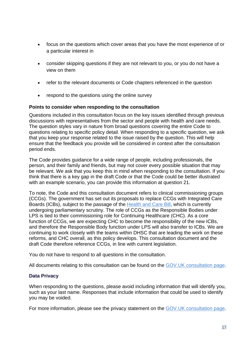- focus on the questions which cover areas that you have the most experience of or a particular interest in
- consider skipping questions if they are not relevant to you, or you do not have a view on them
- refer to the relevant documents or Code chapters referenced in the question
- respond to the questions using the online survey

#### **Points to consider when responding to the consultation**

Questions included in this consultation focus on the key issues identified through previous discussions with representatives from the sector and people with health and care needs. The question styles vary in nature from broad questions covering the entire Code to questions relating to specific policy detail. When responding to a specific question, we ask that you keep your response related to the issue raised by the question. This will help ensure that the feedback you provide will be considered in context after the consultation period ends.

The Code provides guidance for a wide range of people, including professionals, the person, and their family and friends, but may not cover every possible situation that may be relevant. We ask that you keep this in mind when responding to the consultation. If you think that there is a key gap in the draft Code or that the Code could be better illustrated with an example scenario, you can provide this information at question 21.

To note, the Code and this consultation document refers to clinical commissioning groups (CCGs). The government has set out its proposals to replace CCGs with Integrated Care Boards (ICBs), subject to the passage of the [Health and Care Bill,](https://eur03.safelinks.protection.outlook.com/?url=https%3A%2F%2Fbills.parliament.uk%2Fbills%2F3022&data=04%7C01%7CPeter.Dixon%40dhsc.gov.uk%7C7f897128c5464628a32408da0298084d%7C61278c3091a84c318c1fef4de8973a1c%7C1%7C0%7C637825149235440959%7CUnknown%7CTWFpbGZsb3d8eyJWIjoiMC4wLjAwMDAiLCJQIjoiV2luMzIiLCJBTiI6Ik1haWwiLCJXVCI6Mn0%3D%7C3000&sdata=qyyzEZHDBm8oqP4akHsP7%2BWxxTiqWFXJRzRWxO5ClHI%3D&reserved=0) which is currently undergoing parliamentary scrutiny. The role of CCGs as the Responsible Bodies under LPS is tied to their commissioning role for Continuing Healthcare (CHC). As a core function of CCGs, we are expecting CHC to become the responsibility of the new ICBs, and therefore the Responsible Body function under LPS will also transfer to ICBs. We are continuing to work closely with the teams within DHSC that are leading the work on these reforms, and CHC overall, as this policy develops. This consultation document and the draft Code therefore reference CCGs, in line with current legislation.

You do not have to respond to all questions in the consultation.

All documents relating to this consultation can be found on the GOV.UK [consultation page.](https://www.gov.uk/government/consultations/changes-to-the-mca-code-of-practice-and-implementation-of-the-lps)

#### **Data Privacy**

When responding to the questions, please avoid including information that will identify you, such as your last name. Responses that include information that could be used to identify you may be voided.

For more information, please see the privacy statement on the GOV.UK [consultation page.](https://www.gov.uk/government/consultations/changes-to-the-mca-code-of-practice-and-implementation-of-the-lps)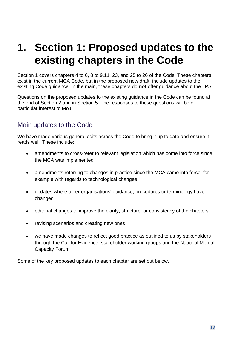## <span id="page-17-0"></span>**1. Section 1: Proposed updates to the existing chapters in the Code**

Section 1 covers chapters 4 to 6, 8 to 9,11, 23, and 25 to 26 of the Code. These chapters exist in the current MCA Code, but in the proposed new draft, include updates to the existing Code guidance. In the main, these chapters do **not** offer guidance about the LPS.

Questions on the proposed updates to the existing guidance in the Code can be found at the end of Section 2 and in Section 5. The responses to these questions will be of particular interest to MoJ.

## <span id="page-17-1"></span>Main updates to the Code

We have made various general edits across the Code to bring it up to date and ensure it reads well. These include:

- amendments to cross-refer to relevant legislation which has come into force since the MCA was implemented
- amendments referring to changes in practice since the MCA came into force, for example with regards to technological changes
- updates where other organisations' guidance, procedures or terminology have changed
- editorial changes to improve the clarity, structure, or consistency of the chapters
- revising scenarios and creating new ones
- we have made changes to reflect good practice as outlined to us by stakeholders through the Call for Evidence, stakeholder working groups and the National Mental Capacity Forum

Some of the key proposed updates to each chapter are set out below.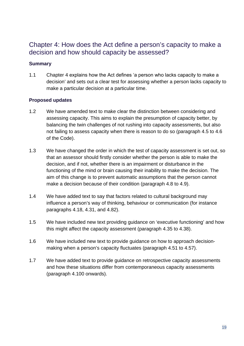## <span id="page-18-0"></span>Chapter 4: How does the Act define a person's capacity to make a decision and how should capacity be assessed?

#### **Summary**

1.1 Chapter 4 explains how the Act defines 'a person who lacks capacity to make a decision' and sets out a clear test for assessing whether a person lacks capacity to make a particular decision at a particular time.

- 1.2 We have amended text to make clear the distinction between considering and assessing capacity. This aims to explain the presumption of capacity better, by balancing the twin challenges of not rushing into capacity assessments, but also not failing to assess capacity when there is reason to do so (paragraph 4.5 to 4.6 of the Code).
- 1.3 We have changed the order in which the test of capacity assessment is set out, so that an assessor should firstly consider whether the person is able to make the decision, and if not, whether there is an impairment or disturbance in the functioning of the mind or brain causing their inability to make the decision. The aim of this change is to prevent automatic assumptions that the person cannot make a decision because of their condition (paragraph 4.8 to 4.9).
- 1.4 We have added text to say that factors related to cultural background may influence a person's way of thinking, behaviour or communication (for instance paragraphs 4.18, 4.31, and 4.82).
- 1.5 We have included new text providing guidance on 'executive functioning' and how this might affect the capacity assessment (paragraph 4.35 to 4.38).
- 1.6 We have included new text to provide guidance on how to approach decisionmaking when a person's capacity fluctuates (paragraph 4.51 to 4.57).
- 1.7 We have added text to provide guidance on retrospective capacity assessments and how these situations differ from contemporaneous capacity assessments (paragraph 4.100 onwards).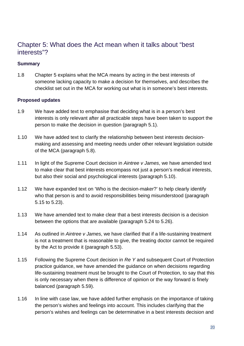## <span id="page-19-0"></span>Chapter 5: What does the Act mean when it talks about "best interests"?

#### **Summary**

1.8 Chapter 5 explains what the MCA means by acting in the best interests of someone lacking capacity to make a decision for themselves, and describes the checklist set out in the MCA for working out what is in someone's best interests.

- 1.9 We have added text to emphasise that deciding what is in a person's best interests is only relevant after all practicable steps have been taken to support the person to make the decision in question (paragraph 5.1).
- 1.10 We have added text to clarify the relationship between best interests decisionmaking and assessing and meeting needs under other relevant legislation outside of the MCA (paragraph 5.8).
- 1.11 In light of the Supreme Court decision in *Aintree v James*, we have amended text to make clear that best interests encompass not just a person's medical interests, but also their social and psychological interests (paragraph 5.10).
- 1.12 We have expanded text on 'Who is the decision-maker?' to help clearly identify who that person is and to avoid responsibilities being misunderstood (paragraph) 5.15 to 5.23).
- 1.13 We have amended text to make clear that a best interests decision is a decision between the options that are available (paragraph 5.24 to 5.26).
- 1.14 As outlined in *Aintree v James*, we have clarified that if a life-sustaining treatment is not a treatment that is reasonable to give, the treating doctor cannot be required by the Act to provide it (paragraph 5.53).
- 1.15 Following the Supreme Court decision in *Re Y* and subsequent Court of Protection practice guidance, we have amended the guidance on when decisions regarding life-sustaining treatment must be brought to the Court of Protection, to say that this is only necessary when there is difference of opinion or the way forward is finely balanced (paragraph 5.59).
- 1.16 In line with case law, we have added further emphasis on the importance of taking the person's wishes and feelings into account. This includes clarifying that the person's wishes and feelings can be determinative in a best interests decision and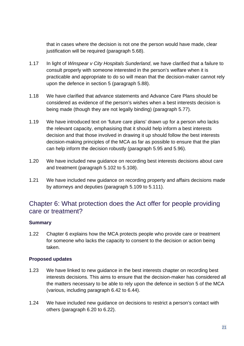that in cases where the decision is not one the person would have made, clear justification will be required (paragraph 5.68).

- 1.17 In light of *Winspear v City Hospitals Sunderland*, we have clarified that a failure to consult properly with someone interested in the person's welfare when it is practicable and appropriate to do so will mean that the decision-maker cannot rely upon the defence in section 5 (paragraph 5.88).
- 1.18 We have clarified that advance statements and Advance Care Plans should be considered as evidence of the person's wishes when a best interests decision is being made (though they are not legally binding) (paragraph 5.77).
- 1.19 We have introduced text on 'future care plans' drawn up for a person who lacks the relevant capacity, emphasising that it should help inform a best interests decision and that those involved in drawing it up should follow the best interests decision-making principles of the MCA as far as possible to ensure that the plan can help inform the decision robustly (paragraph 5.95 and 5.96).
- 1.20 We have included new guidance on recording best interests decisions about care and treatment (paragraph 5.102 to 5.108).
- 1.21 We have included new guidance on recording property and affairs decisions made by attorneys and deputies (paragraph 5.109 to 5.111).

## <span id="page-20-0"></span>Chapter 6: What protection does the Act offer for people providing care or treatment?

#### **Summary**

1.22 Chapter 6 explains how the MCA protects people who provide care or treatment for someone who lacks the capacity to consent to the decision or action being taken.

- 1.23 We have linked to new guidance in the best interests chapter on recording best interests decisions. This aims to ensure that the decision-maker has considered all the matters necessary to be able to rely upon the defence in section 5 of the MCA (various, including paragraph 6.42 to 6.44).
- 1.24 We have included new guidance on decisions to restrict a person's contact with others (paragraph 6.20 to 6.22).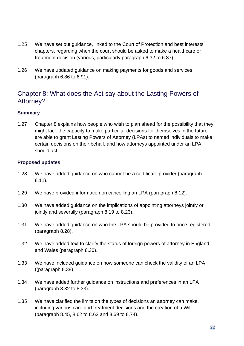- 1.25 We have set out guidance, linked to the Court of Protection and best interests chapters, regarding when the court should be asked to make a healthcare or treatment decision (various, particularly paragraph 6.32 to 6.37).
- 1.26 We have updated guidance on making payments for goods and services (paragraph 6.86 to 6.91).

## <span id="page-21-0"></span>Chapter 8: What does the Act say about the Lasting Powers of Attorney?

#### **Summary**

1.27 Chapter 8 explains how people who wish to plan ahead for the possibility that they might lack the capacity to make particular decisions for themselves in the future are able to grant Lasting Powers of Attorney (LPAs) to named individuals to make certain decisions on their behalf, and how attorneys appointed under an LPA should act.

- 1.28 We have added guidance on who cannot be a certificate provider (paragraph 8.11).
- 1.29 We have provided information on cancelling an LPA (paragraph 8.12).
- 1.30 We have added guidance on the implications of appointing attorneys jointly or jointly and severally (paragraph 8.19 to 8.23).
- 1.31 We have added guidance on who the LPA should be provided to once registered (paragraph 8.28).
- 1.32 We have added text to clarify the status of foreign powers of attorney in England and Wales (paragraph 8.30).
- 1.33 We have included guidance on how someone can check the validity of an LPA ((paragraph 8.38).
- 1.34 We have added further guidance on instructions and preferences in an LPA (paragraph 8.32 to 8.33).
- 1.35 We have clarified the limits on the types of decisions an attorney can make, including various care and treatment decisions and the creation of a Will (paragraph 8.45, 8.62 to 8.63 and 8.69 to 8.74).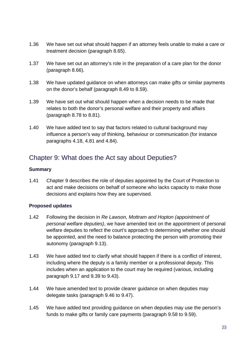- 1.36 We have set out what should happen if an attorney feels unable to make a care or treatment decision (paragraph 8.65).
- 1.37 We have set out an attorney's role in the preparation of a care plan for the donor (paragraph 8.66).
- 1.38 We have updated guidance on when attorneys can make gifts or similar payments on the donor's behalf (paragraph 8.49 to 8.59).
- 1.39 We have set out what should happen when a decision needs to be made that relates to both the donor's personal welfare and their property and affairs (paragraph 8.78 to 8.81).
- 1.40 We have added text to say that factors related to cultural background may influence a person's way of thinking, behaviour or communication (for instance paragraphs 4.18, 4.81 and 4.84).

## <span id="page-22-0"></span>Chapter 9: What does the Act say about Deputies?

#### **Summary**

1.41 Chapter 9 describes the role of deputies appointed by the Court of Protection to act and make decisions on behalf of someone who lacks capacity to make those decisions and explains how they are supervised.

- 1.42 Following the decision in *Re Lawson, Mottram and Hopton (appointment of personal welfare deputies)*, we have amended text on the appointment of personal welfare deputies to reflect the court's approach to determining whether one should be appointed, and the need to balance protecting the person with promoting their autonomy (paragraph 9.13).
- 1.43 We have added text to clarify what should happen if there is a conflict of interest, including where the deputy is a family member or a professional deputy. This includes when an application to the court may be required (various, including paragraph 9.17 and 9.39 to 9.43).
- 1.44 We have amended text to provide clearer guidance on when deputies may delegate tasks (paragraph 9.46 to 9.47).
- 1.45 We have added text providing guidance on when deputies may use the person's funds to make gifts or family care payments (paragraph 9.58 to 9.59).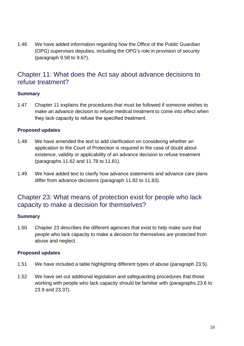1.46 We have added information regarding how the Office of the Public Guardian (OPG) supervises deputies, including the OPG's role in provision of security (paragraph 9.58 to 9.67).

## <span id="page-23-0"></span>Chapter 11: What does the Act say about advance decisions to refuse treatment?

#### **Summary**

1.47 Chapter 11 explains the procedures that must be followed if someone wishes to make an advance decision to refuse medical treatment to come into effect when they lack capacity to refuse the specified treatment.

#### **Proposed updates**

- 1.48 We have amended the text to add clarification on considering whether an application to the Court of Protection is required in the case of doubt about existence, validity or applicability of an advance decision to refuse treatment (paragraphs 11.62 and 11.78 to 11.81).
- 1.49 We have added text to clarify how advance statements and advance care plans differ from advance decisions (paragraph 11.82 to 11.83).

## <span id="page-23-1"></span>Chapter 23: What means of protection exist for people who lack capacity to make a decision for themselves?

#### **Summary**

1.50 Chapter 23 describes the different agencies that exist to help make sure that people who lack capacity to make a decision for themselves are protected from abuse and neglect.

- 1.51 We have included a table highlighting different types of abuse (paragraph 23.5).
- 1.52 We have set out additional legislation and safeguarding procedures that those working with people who lack capacity should be familiar with (paragraphs 23.6 to 23.9 and 23.37).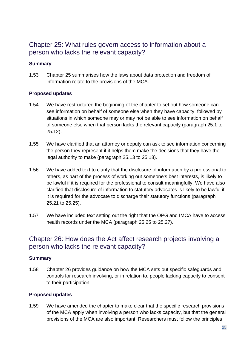## <span id="page-24-0"></span>Chapter 25: What rules govern access to information about a person who lacks the relevant capacity?

#### **Summary**

1.53 Chapter 25 summarises how the laws about data protection and freedom of information relate to the provisions of the MCA.

#### **Proposed updates**

- 1.54 We have restructured the beginning of the chapter to set out how someone can see information on behalf of someone else when they have capacity, followed by situations in which someone may or may not be able to see information on behalf of someone else when that person lacks the relevant capacity (paragraph 25.1 to 25.12).
- 1.55 We have clarified that an attorney or deputy can ask to see information concerning the person they represent if it helps them make the decisions that they have the legal authority to make (paragraph 25.13 to 25.18).
- 1.56 We have added text to clarify that the disclosure of information by a professional to others, as part of the process of working out someone's best interests, is likely to be lawful if it is required for the professional to consult meaningfully. We have also clarified that disclosure of information to statutory advocates is likely to be lawful if it is required for the advocate to discharge their statutory functions (paragraph 25.21 to 25.25).
- 1.57 We have included text setting out the right that the OPG and IMCA have to access health records under the MCA (paragraph 25.25 to 25.27).

## <span id="page-24-1"></span>Chapter 26: How does the Act affect research projects involving a person who lacks the relevant capacity?

#### **Summary**

1.58 Chapter 26 provides guidance on how the MCA sets out specific safeguards and controls for research involving, or in relation to, people lacking capacity to consent to their participation.

#### **Proposed updates**

1.59 We have amended the chapter to make clear that the specific research provisions of the MCA apply when involving a person who lacks capacity, but that the general provisions of the MCA are also important. Researchers must follow the principles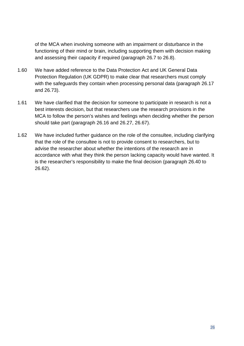of the MCA when involving someone with an impairment or disturbance in the functioning of their mind or brain, including supporting them with decision making and assessing their capacity if required (paragraph 26.7 to 26.8).

- 1.60 We have added reference to the Data Protection Act and UK General Data Protection Regulation (UK GDPR) to make clear that researchers must comply with the safeguards they contain when processing personal data (paragraph 26.17 and 26.73).
- 1.61 We have clarified that the decision for someone to participate in research is not a best interests decision, but that researchers use the research provisions in the MCA to follow the person's wishes and feelings when deciding whether the person should take part (paragraph 26.16 and 26.27, 26.67).
- 1.62 We have included further guidance on the role of the consultee, including clarifying that the role of the consultee is not to provide consent to researchers, but to advise the researcher about whether the intentions of the research are in accordance with what they think the person lacking capacity would have wanted. It is the researcher's responsibility to make the final decision (paragraph 26.40 to 26.62).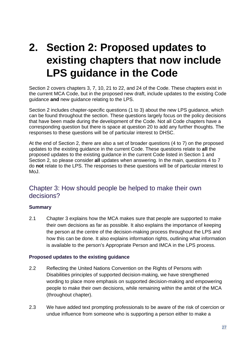## <span id="page-26-0"></span>**2. Section 2: Proposed updates to existing chapters that now include LPS guidance in the Code**

Section 2 covers chapters 3, 7, 10, 21 to 22, and 24 of the Code. These chapters exist in the current MCA Code, but in the proposed new draft, include updates to the existing Code guidance **and** new guidance relating to the LPS.

Section 2 includes chapter-specific questions (1 to 3) about the new LPS guidance, which can be found throughout the section. These questions largely focus on the policy decisions that have been made during the development of the Code. Not all Code chapters have a corresponding question but there is space at question 20 to add any further thoughts. The responses to these questions will be of particular interest to DHSC.

At the end of Section 2, there are also a set of broader questions (4 to 7) on the proposed updates to the existing guidance in the current Code. These questions relate to **all** the proposed updates to the existing guidance in the current Code listed in Section 1 and Section 2, so please consider **all** updates when answering. In the main, questions 4 to 7 do **not** relate to the LPS. The responses to these questions will be of particular interest to MoJ.

### <span id="page-26-1"></span>Chapter 3: How should people be helped to make their own decisions?

#### **Summary**

2.1 Chapter 3 explains how the MCA makes sure that people are supported to make their own decisions as far as possible. It also explains the importance of keeping the person at the centre of the decision-making process throughout the LPS and how this can be done. It also explains information rights, outlining what information is available to the person's Appropriate Person and IMCA in the LPS process.

#### **Proposed updates to the existing guidance**

- 2.2 Reflecting the United Nations Convention on the Rights of Persons with Disabilities principles of supported decision-making, we have strengthened wording to place more emphasis on supported decision-making and empowering people to make their own decisions, while remaining within the ambit of the MCA (throughout chapter).
- 2.3 We have added text prompting professionals to be aware of the risk of coercion or undue influence from someone who is supporting a person either to make a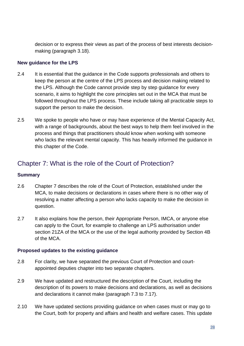decision or to express their views as part of the process of best interests decisionmaking (paragraph 3.18).

#### **New guidance for the LPS**

- 2.4 It is essential that the guidance in the Code supports professionals and others to keep the person at the centre of the LPS process and decision making related to the LPS. Although the Code cannot provide step by step guidance for every scenario, it aims to highlight the core principles set out in the MCA that must be followed throughout the LPS process. These include taking all practicable steps to support the person to make the decision.
- 2.5 We spoke to people who have or may have experience of the Mental Capacity Act, with a range of backgrounds, about the best ways to help them feel involved in the process and things that practitioners should know when working with someone who lacks the relevant mental capacity. This has heavily informed the guidance in this chapter of the Code.

## <span id="page-27-0"></span>Chapter 7: What is the role of the Court of Protection?

#### **Summary**

- 2.6 Chapter 7 describes the role of the Court of Protection, established under the MCA, to make decisions or declarations in cases where there is no other way of resolving a matter affecting a person who lacks capacity to make the decision in question.
- 2.7 It also explains how the person, their Appropriate Person, IMCA, or anyone else can apply to the Court, for example to challenge an LPS authorisation under section 21ZA of the MCA or the use of the legal authority provided by Section 4B of the MCA.

#### **Proposed updates to the existing guidance**

- 2.8 For clarity, we have separated the previous Court of Protection and courtappointed deputies chapter into two separate chapters.
- 2.9 We have updated and restructured the description of the Court, including the description of its powers to make decisions and declarations, as well as decisions and declarations it cannot make (paragraph 7.3 to 7.17).
- 2.10 We have updated sections providing guidance on when cases must or may go to the Court, both for property and affairs and health and welfare cases. This update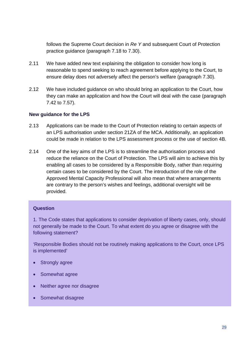follows the Supreme Court decision in *Re Y* and subsequent Court of Protection practice guidance (paragraph 7.18 to 7.30).

- 2.11 We have added new text explaining the obligation to consider how long is reasonable to spend seeking to reach agreement before applying to the Court, to ensure delay does not adversely affect the person's welfare (paragraph 7.30).
- 2.12 We have included guidance on who should bring an application to the Court, how they can make an application and how the Court will deal with the case (paragraph 7.42 to 7.57).

#### **New guidance for the LPS**

- 2.13 Applications can be made to the Court of Protection relating to certain aspects of an LPS authorisation under section 21ZA of the MCA. Additionally, an application could be made in relation to the LPS assessment process or the use of section 4B.
- 2.14 One of the key aims of the LPS is to streamline the authorisation process and reduce the reliance on the Court of Protection. The LPS will aim to achieve this by enabling all cases to be considered by a Responsible Body, rather than requiring certain cases to be considered by the Court. The introduction of the role of the Approved Mental Capacity Professional will also mean that where arrangements are contrary to the person's wishes and feelings, additional oversight will be provided.

#### **Question**

1. The Code states that applications to consider deprivation of liberty cases, only, should not generally be made to the Court. To what extent do you agree or disagree with the following statement?

'Responsible Bodies should not be routinely making applications to the Court, once LPS is implemented'

- Strongly agree
- Somewhat agree
- Neither agree nor disagree
- Somewhat disagree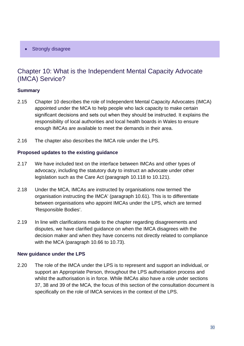Strongly disagree

## <span id="page-29-0"></span>Chapter 10: What is the Independent Mental Capacity Advocate (IMCA) Service?

#### **Summary**

- 2.15 Chapter 10 describes the role of Independent Mental Capacity Advocates (IMCA) appointed under the MCA to help people who lack capacity to make certain significant decisions and sets out when they should be instructed. It explains the responsibility of local authorities and local health boards in Wales to ensure enough IMCAs are available to meet the demands in their area.
- 2.16 The chapter also describes the IMCA role under the LPS.

#### **Proposed updates to the existing guidance**

- 2.17 We have included text on the interface between IMCAs and other types of advocacy, including the statutory duty to instruct an advocate under other legislation such as the Care Act (paragraph 10.118 to 10.121).
- 2.18 Under the MCA, IMCAs are instructed by organisations now termed 'the organisation instructing the IMCA' (paragraph 10.61). This is to differentiate between organisations who appoint IMCAs under the LPS, which are termed 'Responsible Bodies'.
- 2.19 In line with clarifications made to the chapter regarding disagreements and disputes, we have clarified guidance on when the IMCA disagrees with the decision maker and when they have concerns not directly related to compliance with the MCA (paragraph 10.66 to 10.73).

#### **New guidance under the LPS**

2.20 The role of the IMCA under the LPS is to represent and support an individual, or support an Appropriate Person, throughout the LPS authorisation process and whilst the authorisation is in force. While IMCAs also have a role under sections 37, 38 and 39 of the MCA, the focus of this section of the consultation document is specifically on the role of IMCA services in the context of the LPS.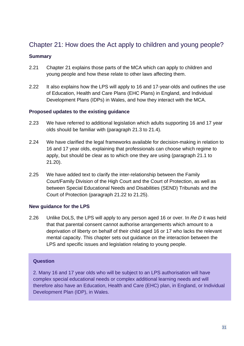## <span id="page-30-0"></span>Chapter 21: How does the Act apply to children and young people?

#### **Summary**

- 2.21 Chapter 21 explains those parts of the MCA which can apply to children and young people and how these relate to other laws affecting them.
- 2.22 It also explains how the LPS will apply to 16 and 17-year-olds and outlines the use of Education, Health and Care Plans (EHC Plans) in England, and Individual Development Plans (IDPs) in Wales, and how they interact with the MCA.

#### **Proposed updates to the existing guidance**

- 2.23 We have referred to additional legislation which adults supporting 16 and 17 year olds should be familiar with (paragraph 21.3 to 21.4).
- 2.24 We have clarified the legal frameworks available for decision-making in relation to 16 and 17 year olds, explaining that professionals can choose which regime to apply, but should be clear as to which one they are using (paragraph 21.1 to 21.20).
- 2.25 We have added text to clarify the inter-relationship between the Family Court/Family Division of the High Court and the Court of Protection, as well as between Special Educational Needs and Disabilities (SEND) Tribunals and the Court of Protection (paragraph 21.22 to 21.25).

#### **New guidance for the LPS**

2.26 Unlike DoLS, the LPS will apply to any person aged 16 or over. In *Re D* it was held that that parental consent cannot authorise arrangements which amount to a deprivation of liberty on behalf of their child aged 16 or 17 who lacks the relevant mental capacity. This chapter sets out guidance on the interaction between the LPS and specific issues and legislation relating to young people.

#### **Question**

2. Many 16 and 17 year olds who will be subject to an LPS authorisation will have complex special educational needs or complex additional learning needs and will therefore also have an Education, Health and Care (EHC) plan, in England, or Individual Development Plan (IDP), in Wales.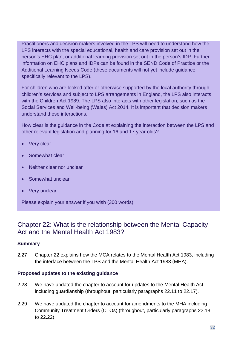Practitioners and decision makers involved in the LPS will need to understand how the LPS interacts with the special educational, health and care provision set out in the person's EHC plan, or additional learning provision set out in the person's IDP. Further information on EHC plans and IDPs can be found in the SEND Code of Practice or the Additional Learning Needs Code (these documents will not yet include guidance specifically relevant to the LPS).

For children who are looked after or otherwise supported by the local authority through children's services and subject to LPS arrangements in England, the LPS also interacts with the Children Act 1989. The LPS also interacts with other legislation, such as the Social Services and Well-being (Wales) Act 2014. It is important that decision makers understand these interactions.

How clear is the guidance in the Code at explaining the interaction between the LPS and other relevant legislation and planning for 16 and 17 year olds?

- **Very clear**
- Somewhat clear
- Neither clear nor unclear
- Somewhat unclear
- **Very unclear**

Please explain your answer if you wish (300 words).

## <span id="page-31-0"></span>Chapter 22: What is the relationship between the Mental Capacity Act and the Mental Health Act 1983?

#### **Summary**

2.27 Chapter 22 explains how the MCA relates to the Mental Health Act 1983, including the interface between the LPS and the Mental Health Act 1983 (MHA).

#### **Proposed updates to the existing guidance**

- 2.28 We have updated the chapter to account for updates to the Mental Health Act including guardianship (throughout, particularly paragraphs 22.11 to 22.17).
- 2.29 We have updated the chapter to account for amendments to the MHA including Community Treatment Orders (CTOs) (throughout, particularly paragraphs 22.18 to 22.22).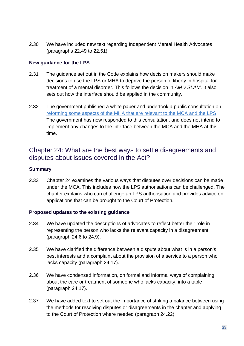2.30 We have included new text regarding Independent Mental Health Advocates (paragraphs 22.49 to 22.51).

#### **New guidance for the LPS**

- 2.31 The guidance set out in the Code explains how decision makers should make decisions to use the LPS or MHA to deprive the person of liberty in hospital for treatment of a mental disorder. This follows the decision in *AM v SLAM*. It also sets out how the interface should be applied in the community.
- 2.32 The government published a white paper and undertook a public consultation on [reforming some aspects of the](https://www.gov.uk/government/consultations/reforming-the-mental-health-act) MHA that are relevant to the MCA and the LPS. The government has now responded to this consultation, and does not intend to implement any changes to the interface between the MCA and the MHA at this time.

## <span id="page-32-0"></span>Chapter 24: What are the best ways to settle disagreements and disputes about issues covered in the Act?

#### **Summary**

2.33 Chapter 24 examines the various ways that disputes over decisions can be made under the MCA. This includes how the LPS authorisations can be challenged. The chapter explains who can challenge an LPS authorisation and provides advice on applications that can be brought to the Court of Protection.

#### **Proposed updates to the existing guidance**

- 2.34 We have updated the descriptions of advocates to reflect better their role in representing the person who lacks the relevant capacity in a disagreement (paragraph 24.6 to 24.9).
- 2.35 We have clarified the difference between a dispute about what is in a person's best interests and a complaint about the provision of a service to a person who lacks capacity (paragraph 24.17).
- 2.36 We have condensed information, on formal and informal ways of complaining about the care or treatment of someone who lacks capacity, into a table (paragraph 24.17).
- 2.37 We have added text to set out the importance of striking a balance between using the methods for resolving disputes or disagreements in the chapter and applying to the Court of Protection where needed (paragraph 24.22).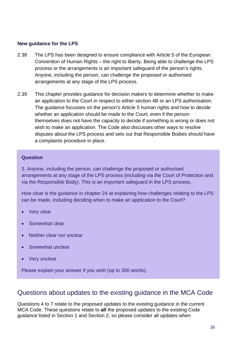#### **New guidance for the LPS**

- 2.38 The LPS has been designed to ensure compliance with Article 5 of the European Convention of Human Rights – the right to liberty. Being able to challenge the LPS process or the arrangements is an important safeguard of the person's rights. Anyone, including the person, can challenge the proposed or authorised arrangements at any stage of the LPS process.
- 2.39 This chapter provides guidance for decision makers to determine whether to make an application to the Court in respect to either section 4B or an LPS authorisation. The guidance focusses on the person's Article 5 human rights and how to decide whether an application should be made to the Court, even if the person themselves does not have the capacity to decide if something is wrong or does not wish to make an application. The Code also discusses other ways to resolve disputes about the LPS process and sets out that Responsible Bodies should have a complaints procedure in place.

#### **Question**

3. Anyone, including the person, can challenge the proposed or authorised arrangements at any stage of the LPS process (including via the Court of Protection and via the Responsible Body). This is an important safeguard in the LPS process.

How clear is the guidance in chapter 24 at explaining how challenges relating to the LPS can be made, including deciding when to make an application to the Court?

- Very clear
- Somewhat clear
- Neither clear nor unclear
- Somewhat unclear
- Very unclear

Please explain your answer if you wish (up to 300 words).

## <span id="page-33-0"></span>Questions about updates to the existing guidance in the MCA Code

Questions 4 to 7 relate to the proposed updates to the existing guidance in the current MCA Code. These questions relate to **all** the proposed updates to the existing Code guidance listed in Section 1 and Section 2, so please consider all updates when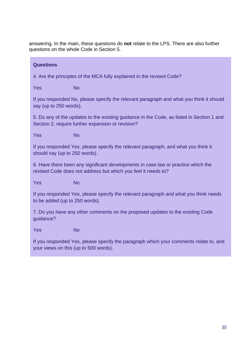answering. In the main, these questions do **not** relate to the LPS. There are also further questions on the whole Code in Section 5.

#### **Questions**

4. Are the principles of the MCA fully explained in the revised Code?

Yes No

If you responded No, please specify the relevant paragraph and what you think it should say (up to 250 words).

5. Do any of the updates to the existing guidance in the Code, as listed in Section 1 and Section 2, require further expansion or revision?

Yes No

If you responded Yes, please specify the relevant paragraph, and what you think it should say (up to 250 words).

6. Have there been any significant developments in case law or practice which the revised Code does not address but which you feel it needs to?

Yes No

If you responded Yes, please specify the relevant paragraph and what you think needs to be added (up to 250 words).

7. Do you have any other comments on the proposed updates to the existing Code guidance?

Yes No

If you responded Yes, please specify the paragraph which your comments relate to, and your views on this (up to 500 words).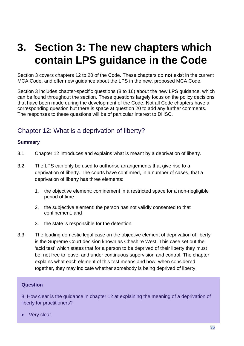## <span id="page-35-0"></span>**3. Section 3: The new chapters which contain LPS guidance in the Code**

Section 3 covers chapters 12 to 20 of the Code. These chapters do **not** exist in the current MCA Code, and offer new guidance about the LPS in the new, proposed MCA Code.

Section 3 includes chapter-specific questions (8 to 16) about the new LPS guidance, which can be found throughout the section. These questions largely focus on the policy decisions that have been made during the development of the Code. Not all Code chapters have a corresponding question but there is space at question 20 to add any further comments. The responses to these questions will be of particular interest to DHSC.

## <span id="page-35-1"></span>Chapter 12: What is a deprivation of liberty?

#### **Summary**

- 3.1 Chapter 12 introduces and explains what is meant by a deprivation of liberty.
- 3.2 The LPS can only be used to authorise arrangements that give rise to a deprivation of liberty. The courts have confirmed, in a number of cases, that a deprivation of liberty has three elements:
	- 1. the objective element: confinement in a restricted space for a non-negligible period of time
	- 2. the subjective element: the person has not validly consented to that confinement, and
	- 3. the state is responsible for the detention.
- 3.3 The leading domestic legal case on the objective element of deprivation of liberty is the Supreme Court decision known as Cheshire West. This case set out the 'acid test' which states that for a person to be deprived of their liberty they must be; not free to leave, and under continuous supervision and control. The chapter explains what each element of this test means and how, when considered together, they may indicate whether somebody is being deprived of liberty.

#### **Question**

8. How clear is the guidance in chapter 12 at explaining the meaning of a deprivation of liberty for practitioners?

Very clear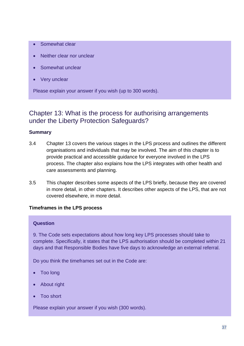- Somewhat clear
- Neither clear nor unclear
- Somewhat unclear
- Very unclear

Please explain your answer if you wish (up to 300 words).

### <span id="page-36-0"></span>Chapter 13: What is the process for authorising arrangements under the Liberty Protection Safeguards?

#### **Summary**

- 3.4 Chapter 13 covers the various stages in the LPS process and outlines the different organisations and individuals that may be involved. The aim of this chapter is to provide practical and accessible guidance for everyone involved in the LPS process. The chapter also explains how the LPS integrates with other health and care assessments and planning.
- 3.5 This chapter describes some aspects of the LPS briefly, because they are covered in more detail, in other chapters. It describes other aspects of the LPS, that are not covered elsewhere, in more detail.

#### **Timeframes in the LPS process**

#### **Question**

9. The Code sets expectations about how long key LPS processes should take to complete. Specifically, it states that the LPS authorisation should be completed within 21 days and that Responsible Bodies have five days to acknowledge an external referral.

Do you think the timeframes set out in the Code are:

- Too long
- About right
- Too short

Please explain your answer if you wish (300 words).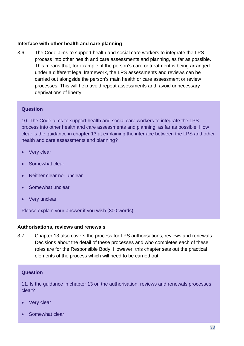#### **Interface with other health and care planning**

3.6 The Code aims to support health and social care workers to integrate the LPS process into other health and care assessments and planning, as far as possible. This means that, for example, if the person's care or treatment is being arranged under a different legal framework, the LPS assessments and reviews can be carried out alongside the person's main health or care assessment or review processes. This will help avoid repeat assessments and, avoid unnecessary deprivations of liberty.

#### **Question**

10. The Code aims to support health and social care workers to integrate the LPS process into other health and care assessments and planning, as far as possible. How clear is the guidance in chapter 13 at explaining the interface between the LPS and other health and care assessments and planning?

- Very clear
- Somewhat clear
- Neither clear nor unclear
- Somewhat unclear
- Very unclear

Please explain your answer if you wish (300 words).

#### **Authorisations, reviews and renewals**

3.7 Chapter 13 also covers the process for LPS authorisations, reviews and renewals. Decisions about the detail of these processes and who completes each of these roles are for the Responsible Body. However, this chapter sets out the practical elements of the process which will need to be carried out.

#### **Question**

11. Is the guidance in chapter 13 on the authorisation, reviews and renewals processes clear?

- Very clear
- Somewhat clear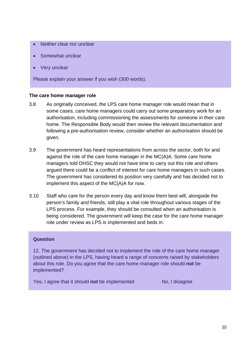- Neither clear nor unclear
- Somewhat unclear
- Very unclear

Please explain your answer if you wish (300 words).

#### **The care home manager role**

- 3.8 As originally conceived, the LPS care home manager role would mean that in some cases, care home managers could carry out some preparatory work for an authorisation, including commissioning the assessments for someone in their care home. The Responsible Body would then review the relevant documentation and following a pre-authorisation review, consider whether an authorisation should be given.
- 3.9 The government has heard representations from across the sector, both for and against the role of the care home manager in the MC(A)A. Some care home managers told DHSC they would not have time to carry out this role and others argued there could be a conflict of interest for care home managers in such cases. The government has considered its position very carefully and has decided not to implement this aspect of the MC(A)A for now.
- 3.10 Staff who care for the person every day and know them best will, alongside the person's family and friends, still play a vital role throughout various stages of the LPS process. For example, they should be consulted when an authorisation is being considered. The government will keep the case for the care home manager role under review as LPS is implemented and beds in.

#### **Question**

12. The government has decided not to implement the role of the care home manager (outlined above) in the LPS, having heard a range of concerns raised by stakeholders about this role. Do you agree that the care home manager role should **not** be implemented?

Yes, I agree that it should **not** be implemented No, I disagree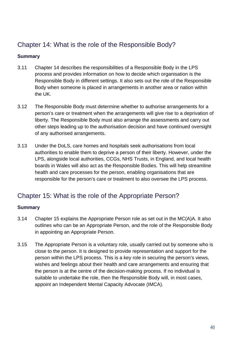## <span id="page-39-0"></span>Chapter 14: What is the role of the Responsible Body?

#### **Summary**

- 3.11 Chapter 14 describes the responsibilities of a Responsible Body in the LPS process and provides information on how to decide which organisation is the Responsible Body in different settings. It also sets out the role of the Responsible Body when someone is placed in arrangements in another area or nation within the UK.
- 3.12 The Responsible Body must determine whether to authorise arrangements for a person's care or treatment when the arrangements will give rise to a deprivation of liberty. The Responsible Body must also arrange the assessments and carry out other steps leading up to the authorisation decision and have continued oversight of any authorised arrangements.
- 3.13 Under the DoLS, care homes and hospitals seek authorisations from local authorities to enable them to deprive a person of their liberty. However, under the LPS, alongside local authorities, CCGs, NHS Trusts, in England, and local health boards in Wales will also act as the Responsible Bodies. This will help streamline health and care processes for the person, enabling organisations that are responsible for the person's care or treatment to also oversee the LPS process.

## <span id="page-39-1"></span>Chapter 15: What is the role of the Appropriate Person?

#### **Summary**

- 3.14 Chapter 15 explains the Appropriate Person role as set out in the MC(A)A. It also outlines who can be an Appropriate Person, and the role of the Responsible Body in appointing an Appropriate Person.
- 3.15 The Appropriate Person is a voluntary role, usually carried out by someone who is close to the person. It is designed to provide representation and support for the person within the LPS process. This is a key role in securing the person's views, wishes and feelings about their health and care arrangements and ensuring that the person is at the centre of the decision-making process. If no individual is suitable to undertake the role, then the Responsible Body will, in most cases, appoint an Independent Mental Capacity Advocate (IMCA).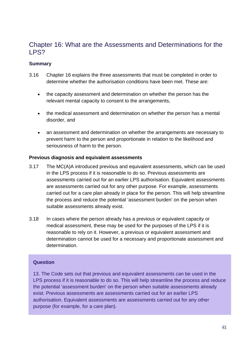## <span id="page-40-0"></span>Chapter 16: What are the Assessments and Determinations for the LPS?

#### **Summary**

- 3.16 Chapter 16 explains the three assessments that must be completed in order to determine whether the authorisation conditions have been met. These are:
	- the capacity assessment and determination on whether the person has the relevant mental capacity to consent to the arrangements,
	- the medical assessment and determination on whether the person has a mental disorder, and
	- an assessment and determination on whether the arrangements are necessary to prevent harm to the person and proportionate in relation to the likelihood and seriousness of harm to the person.

#### **Previous diagnosis and equivalent assessments**

- 3.17 The MC(A)A introduced previous and equivalent assessments, which can be used in the LPS process if it is reasonable to do so. Previous assessments are assessments carried out for an earlier LPS authorisation. Equivalent assessments are assessments carried out for any other purpose. For example, assessments carried out for a care plan already in place for the person. This will help streamline the process and reduce the potential 'assessment burden' on the person when suitable assessments already exist.
- 3.18 In cases where the person already has a previous or equivalent capacity or medical assessment, these may be used for the purposes of the LPS if it is reasonable to rely on it. However, a previous or equivalent assessment and determination cannot be used for a necessary and proportionate assessment and determination.

#### **Question**

13. The Code sets out that previous and equivalent assessments can be used in the LPS process if it is reasonable to do so. This will help streamline the process and reduce the potential 'assessment burden' on the person when suitable assessments already exist. Previous assessments are assessments carried out for an earlier LPS authorisation. Equivalent assessments are assessments carried out for any other purpose (for example, for a care plan).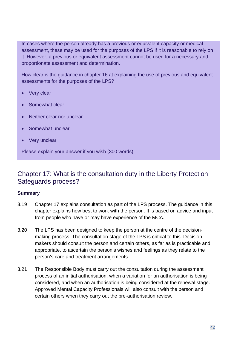In cases where the person already has a previous or equivalent capacity or medical assessment, these may be used for the purposes of the LPS if it is reasonable to rely on it. However, a previous or equivalent assessment cannot be used for a necessary and proportionate assessment and determination.

How clear is the guidance in chapter 16 at explaining the use of previous and equivalent assessments for the purposes of the LPS?

- Very clear
- Somewhat clear
- Neither clear nor unclear
- Somewhat unclear
- Very unclear

Please explain your answer if you wish (300 words).

### <span id="page-41-0"></span>Chapter 17: What is the consultation duty in the Liberty Protection Safeguards process?

#### **Summary**

- 3.19 Chapter 17 explains consultation as part of the LPS process. The guidance in this chapter explains how best to work with the person. It is based on advice and input from people who have or may have experience of the MCA.
- 3.20 The LPS has been designed to keep the person at the centre of the decisionmaking process. The consultation stage of the LPS is critical to this. Decision makers should consult the person and certain others, as far as is practicable and appropriate, to ascertain the person's wishes and feelings as they relate to the person's care and treatment arrangements.
- 3.21 The Responsible Body must carry out the consultation during the assessment process of an initial authorisation, when a variation for an authorisation is being considered, and when an authorisation is being considered at the renewal stage. Approved Mental Capacity Professionals will also consult with the person and certain others when they carry out the pre-authorisation review.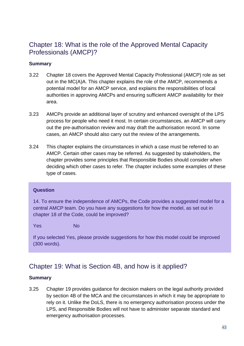## <span id="page-42-0"></span>Chapter 18: What is the role of the Approved Mental Capacity Professionals (AMCP)?

#### **Summary**

- 3.22 Chapter 18 covers the Approved Mental Capacity Professional (AMCP) role as set out in the MC(A)A. This chapter explains the role of the AMCP, recommends a potential model for an AMCP service, and explains the responsibilities of local authorities in approving AMCPs and ensuring sufficient AMCP availability for their area.
- 3.23 AMCPs provide an additional layer of scrutiny and enhanced oversight of the LPS process for people who need it most. In certain circumstances, an AMCP will carry out the pre-authorisation review and may draft the authorisation record. In some cases, an AMCP should also carry out the review of the arrangements.
- 3.24 This chapter explains the circumstances in which a case must be referred to an AMCP. Certain other cases may be referred. As suggested by stakeholders, the chapter provides some principles that Responsible Bodies should consider when deciding which other cases to refer. The chapter includes some examples of these type of cases.

#### **Question**

14. To ensure the independence of AMCPs, the Code provides a suggested model for a central AMCP team. Do you have any suggestions for how the model, as set out in chapter 18 of the Code, could be improved?

Yes No

If you selected Yes, please provide suggestions for how this model could be improved (300 words).

## <span id="page-42-1"></span>Chapter 19: What is Section 4B, and how is it applied?

#### **Summary**

3.25 Chapter 19 provides guidance for decision makers on the legal authority provided by section 4B of the MCA and the circumstances in which it may be appropriate to rely on it. Unlike the DoLS, there is no emergency authorisation process under the LPS, and Responsible Bodies will not have to administer separate standard and emergency authorisation processes.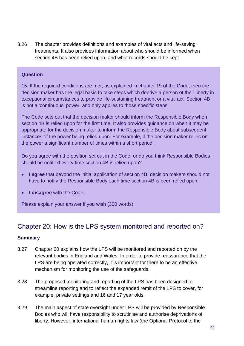3.26 The chapter provides definitions and examples of vital acts and life-saving treatments. It also provides information about who should be informed when section 4B has been relied upon, and what records should be kept.

#### **Question**

15. If the required conditions are met, as explained in chapter 19 of the Code, then the decision maker has the legal basis to take steps which deprive a person of their liberty in exceptional circumstances to provide life-sustaining treatment or a vital act. Section 4B is not a 'continuous' power, and only applies to those specific steps.

The Code sets out that the decision maker should inform the Responsible Body when section 4B is relied upon for the first time. It also provides guidance on when it may be appropriate for the decision maker to inform the Responsible Body about subsequent instances of the power being relied upon. For example, if the decision maker relies on the power a significant number of times within a short period.

Do you agree with the position set out in the Code, or do you think Responsible Bodies should be notified every time section 4B is relied upon?

- I **agree** that beyond the initial application of section 4B, decision makers should not have to notify the Responsible Body each time section 4B is been relied upon.
- I **disagree** with the Code.

Please explain your answer if you wish (300 words).

## <span id="page-43-0"></span>Chapter 20: How is the LPS system monitored and reported on?

#### **Summary**

- 3.27 Chapter 20 explains how the LPS will be monitored and reported on by the relevant bodies in England and Wales. In order to provide reassurance that the LPS are being operated correctly, it is important for there to be an effective mechanism for monitoring the use of the safeguards.
- 3.28 The proposed monitoring and reporting of the LPS has been designed to streamline reporting and to reflect the expanded remit of the LPS to cover, for example, private settings and 16 and 17 year olds.
- 3.29 The main aspect of state oversight under LPS will be provided by Responsible Bodies who will have responsibility to scrutinise and authorise deprivations of liberty. However, international human rights law (the Optional Protocol to the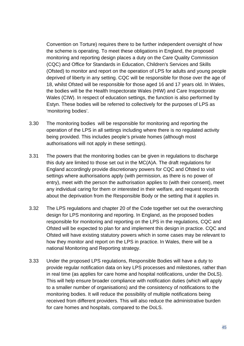Convention on Torture) requires there to be further independent oversight of how the scheme is operating. To meet these obligations in England, the proposed monitoring and reporting design places a duty on the Care Quality Commission (CQC) and Office for Standards in Education, Children's Services and Skills (Ofsted) to monitor and report on the operation of LPS for adults and young people deprived of liberty in any setting. CQC will be responsible for those over the age of 18, whilst Ofsted will be responsible for those aged 16 and 17 years old. In Wales, the bodies will be the Health Inspectorate Wales (HIW) and Care Inspectorate Wales (CIW). In respect of education settings, the function is also performed by Estyn. These bodies will be referred to collectively for the purposes of LPS as 'monitoring bodies'.

- 3.30 The monitoring bodies will be responsible for monitoring and reporting the operation of the LPS in all settings including where there is no regulated activity being provided. This includes people's private homes (although most authorisations will not apply in these settings).
- 3.31 The powers that the monitoring bodies can be given in regulations to discharge this duty are limited to those set out in the MC(A)A. The draft regulations for England accordingly provide discretionary powers for CQC and Ofsted to visit settings where authorisations apply (with permission, as there is no power of entry), meet with the person the authorisation applies to (with their consent), meet any individual caring for them or interested in their welfare, and request records about the deprivation from the Responsible Body or the setting that it applies in.
- 3.32 The LPS regulations and chapter 20 of the Code together set out the overarching design for LPS monitoring and reporting. In England, as the proposed bodies responsible for monitoring and reporting on the LPS in the regulations, CQC and Ofsted will be expected to plan for and implement this design in practice. CQC and Ofsted will have existing statutory powers which in some cases may be relevant to how they monitor and report on the LPS in practice. In Wales, there will be a national Monitoring and Reporting strategy.
- 3.33 Under the proposed LPS regulations, Responsible Bodies will have a duty to provide regular notification data on key LPS processes and milestones, rather than in real time (as applies for care home and hospital notifications, under the DoLS). This will help ensure broader compliance with notification duties (which will apply to a smaller number of organisations) and the consistency of notifications to the monitoring bodies. It will reduce the possibility of multiple notifications being received from different providers. This will also reduce the administrative burden for care homes and hospitals, compared to the DoLS.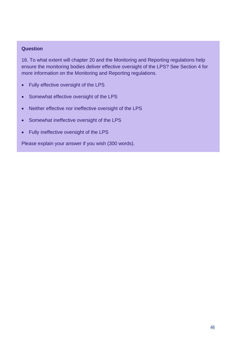#### **Question**

16. To what extent will chapter 20 and the Monitoring and Reporting regulations help ensure the monitoring bodies deliver effective oversight of the LPS? See Section 4 for more information on the Monitoring and Reporting regulations.

- Fully effective oversight of the LPS
- Somewhat effective oversight of the LPS
- Neither effective nor ineffective oversight of the LPS
- Somewhat ineffective oversight of the LPS
- Fully ineffective oversight of the LPS

Please explain your answer if you wish (300 words).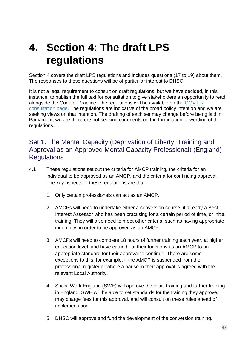## <span id="page-46-0"></span>**4. Section 4: The draft LPS regulations**

Section 4 covers the draft LPS regulations and includes questions (17 to 19) about them. The responses to these questions will be of particular interest to DHSC.

It is not a legal requirement to consult on draft regulations, but we have decided, in this instance, to publish the full text for consultation to give stakeholders an opportunity to read alongside the Code of Practice. The regulations will be available on the [GOV.UK](https://www.gov.uk/government/consultations/changes-to-the-mca-code-of-practice-and-implementation-of-the-lps)  [consultation page.](https://www.gov.uk/government/consultations/changes-to-the-mca-code-of-practice-and-implementation-of-the-lps) The regulations are indicative of the broad policy intention and we are seeking views on that intention. The drafting of each set may change before being laid in Parliament, we are therefore not seeking comments on the formulation or wording of the regulations.

## <span id="page-46-1"></span>Set 1: The Mental Capacity (Deprivation of Liberty: Training and Approval as an Approved Mental Capacity Professional) (England) **Requlations**

- 4.1 These regulations set out the criteria for AMCP training, the criteria for an individual to be approved as an AMCP, and the criteria for continuing approval. The key aspects of these regulations are that:
	- 1. Only certain professionals can act as an AMCP.
	- 2. AMCPs will need to undertake either a conversion course, if already a Best Interest Assessor who has been practising for a certain period of time, or initial training. They will also need to meet other criteria, such as having appropriate indemnity, in order to be approved as an AMCP.
	- 3. AMCPs will need to complete 18 hours of further training each year, at higher education level, and have carried out their functions as an AMCP to an appropriate standard for their approval to continue. There are some exceptions to this, for example, if the AMCP is suspended from their professional register or where a pause in their approval is agreed with the relevant Local Authority.
	- 4. Social Work England (SWE) will approve the initial training and further training in England. SWE will be able to set standards for the training they approve, may charge fees for this approval, and will consult on these rules ahead of implementation.
	- 5. DHSC will approve and fund the development of the conversion training.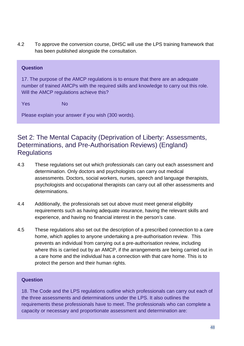4.2 To approve the conversion course, DHSC will use the LPS training framework that has been published alongside the consultation.

#### **Question**

17. The purpose of the AMCP regulations is to ensure that there are an adequate number of trained AMCPs with the required skills and knowledge to carry out this role. Will the AMCP regulations achieve this?

Yes No

Please explain your answer if you wish (300 words).

## <span id="page-47-0"></span>Set 2: The Mental Capacity (Deprivation of Liberty: Assessments, Determinations, and Pre-Authorisation Reviews) (England) **Requlations**

- 4.3 These regulations set out which professionals can carry out each assessment and determination. Only doctors and psychologists can carry out medical assessments. Doctors, social workers, nurses, speech and language therapists, psychologists and occupational therapists can carry out all other assessments and determinations.
- 4.4 Additionally, the professionals set out above must meet general eligibility requirements such as having adequate insurance, having the relevant skills and experience, and having no financial interest in the person's case.
- 4.5 These regulations also set out the description of a prescribed connection to a care home, which applies to anyone undertaking a pre-authorisation review. This prevents an individual from carrying out a pre-authorisation review, including where this is carried out by an AMCP, if the arrangements are being carried out in a care home and the individual has a connection with that care home. This is to protect the person and their human rights.

#### **Question**

18. The Code and the LPS regulations outline which professionals can carry out each of the three assessments and determinations under the LPS. It also outlines the requirements these professionals have to meet. The professionals who can complete a capacity or necessary and proportionate assessment and determination are: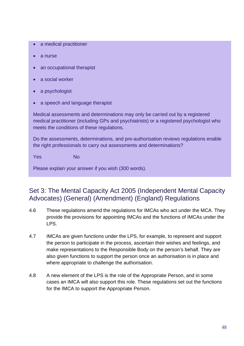- a medical practitioner
- a nurse
- an occupational therapist
- a social worker
- a psychologist
- a speech and language therapist

Medical assessments and determinations may only be carried out by a registered medical practitioner (including GPs and psychiatrists) or a registered psychologist who meets the conditions of these regulations.

Do the assessments, determinations, and pre-authorisation reviews regulations enable the right professionals to carry out assessments and determinations?

Yes No

Please explain your answer if you wish (300 words).

## <span id="page-48-0"></span>Set 3: The Mental Capacity Act 2005 (Independent Mental Capacity Advocates) (General) (Amendment) (England) Regulations

- 4.6 These regulations amend the regulations for IMCAs who act under the MCA. They provide the provisions for appointing IMCAs and the functions of IMCAs under the LPS.
- 4.7 IMCAs are given functions under the LPS, for example, to represent and support the person to participate in the process, ascertain their wishes and feelings, and make representations to the Responsible Body on the person's behalf. They are also given functions to support the person once an authorisation is in place and where appropriate to challenge the authorisation.
- 4.8 A new element of the LPS is the role of the Appropriate Person, and in some cases an IMCA will also support this role. These regulations set out the functions for the IMCA to support the Appropriate Person.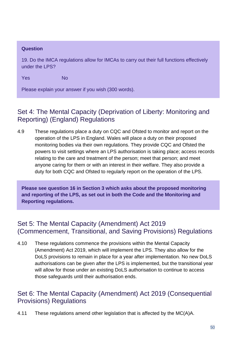#### **Question**

19. Do the IMCA regulations allow for IMCAs to carry out their full functions effectively under the LPS?

Yes No

Please explain your answer if you wish (300 words).

## <span id="page-49-0"></span>Set 4: The Mental Capacity (Deprivation of Liberty: Monitoring and Reporting) (England) Regulations

4.9 These regulations place a duty on CQC and Ofsted to monitor and report on the operation of the LPS in England. Wales will place a duty on their proposed monitoring bodies via their own regulations. They provide CQC and Ofsted the powers to visit settings where an LPS authorisation is taking place; access records relating to the care and treatment of the person; meet that person; and meet anyone caring for them or with an interest in their welfare. They also provide a duty for both CQC and Ofsted to regularly report on the operation of the LPS.

**Please see question 16 in Section 3 which asks about the proposed monitoring and reporting of the LPS, as set out in both the Code and the Monitoring and Reporting regulations.**

## <span id="page-49-1"></span>Set 5: The Mental Capacity (Amendment) Act 2019 (Commencement, Transitional, and Saving Provisions) Regulations

4.10 These regulations commence the provisions within the Mental Capacity (Amendment) Act 2019, which will implement the LPS. They also allow for the DoLS provisions to remain in place for a year after implementation. No new DoLS authorisations can be given after the LPS is implemented, but the transitional year will allow for those under an existing DoLS authorisation to continue to access those safeguards until their authorisation ends.

## <span id="page-49-2"></span>Set 6: The Mental Capacity (Amendment) Act 2019 (Consequential Provisions) Regulations

4.11 These regulations amend other legislation that is affected by the MC(A)A.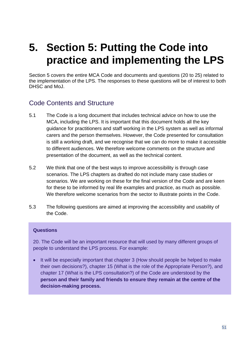## <span id="page-50-0"></span>**5. Section 5: Putting the Code into practice and implementing the LPS**

Section 5 covers the entire MCA Code and documents and questions (20 to 25) related to the implementation of the LPS. The responses to these questions will be of interest to both DHSC and MoJ.

## <span id="page-50-1"></span>Code Contents and Structure

- 5.1 The Code is a long document that includes technical advice on how to use the MCA, including the LPS. It is important that this document holds all the key guidance for practitioners and staff working in the LPS system as well as informal carers and the person themselves. However, the Code presented for consultation is still a working draft, and we recognise that we can do more to make it accessible to different audiences. We therefore welcome comments on the structure and presentation of the document, as well as the technical content.
- 5.2 We think that one of the best ways to improve accessibility is through case scenarios. The LPS chapters as drafted do not include many case studies or scenarios. We are working on these for the final version of the Code and are keen for these to be informed by real life examples and practice, as much as possible. We therefore welcome scenarios from the sector to illustrate points in the Code.
- 5.3 The following questions are aimed at improving the accessibility and usability of the Code.

#### **Questions**

20. The Code will be an important resource that will used by many different groups of people to understand the LPS process. For example:

• It will be especially important that chapter 3 (How should people be helped to make their own decisions?), chapter 15 (What is the role of the Appropriate Person?), and chapter 17 (What is the LPS consultation?) of the Code are understood by the **person and their family and friends to ensure they remain at the centre of the decision-making process.**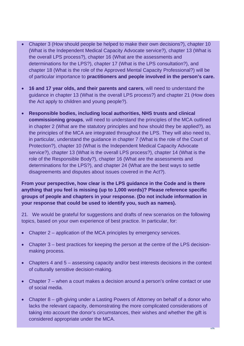- Chapter 3 (How should people be helped to make their own decisions?), chapter 10 (What is the Independent Medical Capacity Advocate service?), chapter 13 (What is the overall LPS process?), chapter 16 (What are the assessments and determinations for the LPS?), chapter 17 (What is the LPS consultation?), and chapter 18 (What is the role of the Approved Mental Capacity Professional?) will be of particular importance to **practitioners and people involved in the person's care.**
- **16 and 17 year olds, and their parents and carers**, will need to understand the guidance in chapter 13 (What is the overall LPS process?) and chapter 21 (How does the Act apply to children and young people?).
- **Responsible bodies, including local authorities, NHS trusts and clinical commissioning groups**, will need to understand the principles of the MCA outlined in chapter 2 (What are the statutory principles and how should they be applied?), as the principles of the MCA are integrated throughout the LPS. They will also need to, in particular, understand the guidance in chapter 7 (What is the role of the Court of Protection?), chapter 10 (What is the Independent Medical Capacity Advocate service?), chapter 13 (What is the overall LPS process?), chapter 14 (What is the role of the Responsible Body?), chapter 16 (What are the assessments and determinations for the LPS?), and chapter 24 (What are the best ways to settle disagreements and disputes about issues covered in the Act?).

**From your perspective, how clear is the LPS guidance in the Code and is there anything that you feel is missing (up to 1,000 words)? Please reference specific groups of people and chapters in your response. (Do not include information in your response that could be used to identify you, such as names).** 

21. We would be grateful for suggestions and drafts of new scenarios on the following topics, based on your own experience of best practice. In particular, for:

- Chapter 2 application of the MCA principles by emergency services.
- Chapter 3 best practices for keeping the person at the centre of the LPS decisionmaking process.
- Chapters 4 and 5 assessing capacity and/or best interests decisions in the context of culturally sensitive decision-making.
- Chapter 7 when a court makes a decision around a person's online contact or use of social media.
- Chapter 8 gift-giving under a Lasting Powers of Attorney on behalf of a donor who lacks the relevant capacity, demonstrating the more complicated considerations of taking into account the donor's circumstances, their wishes and whether the gift is considered appropriate under the MCA.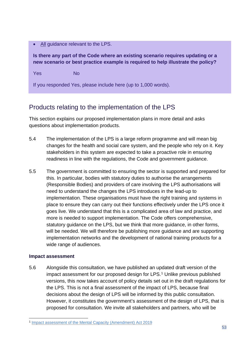• All guidance relevant to the LPS.

**Is there any part of the Code where an existing scenario requires updating or a new scenario or best practice example is required to help illustrate the policy?** 

Yes No

If you responded Yes, please include here (up to 1,000 words).

## <span id="page-52-0"></span>Products relating to the implementation of the LPS

This section explains our proposed implementation plans in more detail and asks questions about implementation products.

- 5.4 The implementation of the LPS is a large reform programme and will mean big changes for the health and social care system, and the people who rely on it. Key stakeholders in this system are expected to take a proactive role in ensuring readiness in line with the regulations, the Code and government guidance.
- 5.5 The government is committed to ensuring the sector is supported and prepared for this. In particular, bodies with statutory duties to authorise the arrangements (Responsible Bodies) and providers of care involving the LPS authorisations will need to understand the changes the LPS introduces in the lead-up to implementation. These organisations must have the right training and systems in place to ensure they can carry out their functions effectively under the LPS once it goes live. We understand that this is a complicated area of law and practice, and more is needed to support implementation. The Code offers comprehensive, statutory guidance on the LPS, but we think that more guidance, in other forms, will be needed. We will therefore be publishing more guidance and are supporting implementation networks and the development of national training products for a wide range of audiences.

#### **Impact assessment**

5.6 Alongside this consultation, we have published an updated draft version of the impact assessment for our proposed design for LPS.<sup>[1](#page-52-1)</sup> Unlike previous published versions, this now takes account of policy details set out in the draft regulations for the LPS. This is not a final assessment of the impact of LPS, because final decisions about the design of LPS will be informed by this public consultation. However, it constitutes the government's assessment of the design of LPS, that is proposed for consultation. We invite all stakeholders and partners, who will be

<span id="page-52-1"></span><sup>1</sup> [Impact assessment of the Mental Capacity \(Amendment\) Act 2019](http://www.gov.uk/government/publications/impact-assessment-of-the-mental-capacity-amendment-act-2019)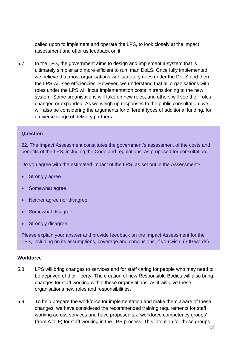called upon to implement and operate the LPS, to look closely at the impact assessment and offer us feedback on it.

5.7 In the LPS, the government aims to design and implement a system that is ultimately simpler and more efficient to run, than DoLS. Once fully implemented, we believe that most organisations with statutory roles under the DoLS and then the LPS will see efficiencies. However, we understand that all organisations with roles under the LPS will incur implementation costs in transitioning to the new system. Some organisations will take on new roles, and others will see their roles changed or expanded. As we weigh up responses to the public consultation, we will also be considering the arguments for different types of additional funding, for a diverse range of delivery partners.

#### **Question**

22. The Impact Assessment constitutes the government's assessment of the costs and benefits of the LPS, including the Code and regulations, as proposed for consultation.

Do you agree with the estimated impact of the LPS, as set out in the Assessment?

- **Strongly agree**
- Somewhat agree
- Neither agree nor disagree
- Somewhat disagree
- **Strongly disagree**

Please explain your answer and provide feedback on the Impact Assessment for the LPS, including on its assumptions, coverage and conclusions, if you wish. (300 words).

#### **Workforce**

- 5.8 LPS will bring changes to services and for staff caring for people who may need to be deprived of their liberty. The creation of new Responsible Bodies will also bring changes for staff working within these organisations, as it will give these organisations new roles and responsibilities.
- 5.9 To help prepare the workforce for implementation and make them aware of these changes, we have considered the recommended training requirements for staff working across services and have proposed six 'workforce competency groups' (from A to F) for staff working in the LPS process. This intention for these groups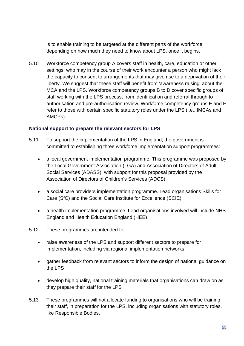is to enable training to be targeted at the different parts of the workforce, depending on how much they need to know about LPS, once it begins.

5.10 Workforce competency group A covers staff in health, care, education or other settings, who may in the course of their work encounter a person who might lack the capacity to consent to arrangements that may give rise to a deprivation of their liberty. We suggest that these staff will benefit from 'awareness raising' about the MCA and the LPS. Workforce competency groups B to D cover specific groups of staff working with the LPS process, from identification and referral through to authorisation and pre-authorisation review. Workforce competency groups E and F refer to those with certain specific statutory roles under the LPS (i.e., IMCAs and AMCPs).

#### **National support to prepare the relevant sectors for LPS**

- 5.11 To support the implementation of the LPS in England, the government is committed to establishing three workforce implementation support programmes:
	- a local government implementation programme. This programme was proposed by the Local Government Association (LGA) and Association of Directors of Adult Social Services (ADASS), with support for this proposal provided by the Association of Directors of Children's Services (ADCS)
	- a social care providers implementation programme. Lead organisations Skills for Care (SfC) and the Social Care Institute for Excellence (SCIE)
	- a health implementation programme. Lead organisations involved will include NHS England and Health Education England (HEE)
- 5.12 These programmes are intended to:
	- raise awareness of the LPS and support different sectors to prepare for implementation, including via regional implementation networks
	- gather feedback from relevant sectors to inform the design of national guidance on the LPS
	- develop high quality, national training materials that organisations can draw on as they prepare their staff for the LPS
- 5.13 These programmes will not allocate funding to organisations who will be training their staff, in preparation for the LPS, including organisations with statutory roles, like Responsible Bodies.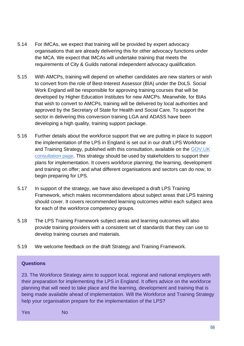- 5.14 For IMCAs, we expect that training will be provided by expert advocacy organisations that are already delivering this for other advocacy functions under the MCA. We expect that IMCAs will undertake training that meets the requirements of City & Guilds national independent advocacy qualification.
- 5.15 With AMCPs, training will depend on whether candidates are new starters or wish to convert from the role of Best-Interest Assessor (BIA) under the DoLS. Social Work England will be responsible for approving training courses that will be developed by Higher Education Institutes for new AMCPs. Meanwhile, for BIAs that wish to convert to AMCPs, training will be delivered by local authorities and approved by the Secretary of State for Health and Social Care. To support the sector in delivering this conversion training LGA and ADASS have been developing a high quality, training support package.
- 5.16 Further details about the workforce support that we are putting in place to support the implementation of the LPS in England is set out in our draft LPS Workforce and Training Strategy, published with this consultation, available on the [GOV.UK](https://www.gov.uk/government/consultations/changes-to-the-mca-code-of-practice-and-implementation-of-the-lps) [consultation page.](https://www.gov.uk/government/consultations/changes-to-the-mca-code-of-practice-and-implementation-of-the-lps) This strategy should be used by stakeholders to support their plans for implementation. It covers workforce planning; the learning, development and training on offer; and what different organisations and sectors can do now, to begin preparing for LPS.
- 5.17 In support of the strategy, we have also developed a draft LPS Training Framework, which makes recommendations about subject areas that LPS training should cover. It covers recommended learning outcomes within each subject area for each of the workforce competency groups.
- 5.18 The LPS Training Framework subject areas and learning outcomes will also provide training providers with a consistent set of standards that they can use to develop training courses and materials.
- 5.19 We welcome feedback on the draft Strategy and Training Framework.

#### **Questions**

23. The Workforce Strategy aims to support local, regional and national employers with their preparation for implementing the LPS in England. It offers advice on the workforce planning that will need to take place and the learning, development and training that is being made available ahead of implementation. Will the Workforce and Training Strategy help your organisation prepare for the implementation of the LPS?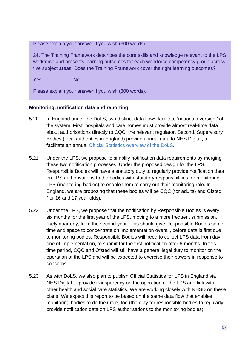Please explain your answer if you wish (300 words).

24. The Training Framework describes the core skills and knowledge relevant to the LPS workforce and presents learning outcomes for each workforce competency group across five subject areas. Does the Training Framework cover the right learning outcomes?

Yes No

Please explain your answer if you wish (300 words).

#### **Monitoring, notification data and reporting**

- 5.20 In England under the DoLS, two distinct data flows facilitate 'national oversight' of the system. First, hospitals and care homes must provide almost real-time data about authorisations directly to CQC, the relevant regulator. Second, Supervisory Bodies (local authorities in England) provide annual data to NHS Digital, to facilitate an annual [Official Statistics overview of the DoLS.](https://digital.nhs.uk/data-and-information/publications/statistical/mental-capacity-act-2005-deprivation-of-liberty-safeguards-assessments/2019-20)
- 5.21 Under the LPS, we propose to simplify notification data requirements by merging these two notification processes. Under the proposed design for the LPS, Responsible Bodies will have a statutory duty to regularly provide notification data on LPS authorisations to the bodies with statutory responsibilities for monitoring LPS (monitoring bodies) to enable them to carry out their monitoring role. In England, we are proposing that these bodies will be CQC (for adults) and Ofsted (for 16 and 17 year olds).
- 5.22 Under the LPS, we propose that the notification by Responsible Bodies is every six months for the first year of the LPS, moving to a more frequent submission, likely quarterly, from the second year. This should give Responsible Bodies some time and space to concentrate on implementation overall, before data is first due to monitoring bodies. Responsible Bodies will need to collect LPS data from day one of implementation, to submit for the first notification after 6-months. In this time period, CQC and Ofsted will still have a general legal duty to monitor on the operation of the LPS and will be expected to exercise their powers in response to concerns.
- 5.23 As with DoLS, we also plan to publish Official Statistics for LPS in England via NHS Digital to provide transparency on the operation of the LPS and link with other health and social care statistics. We are working closely with NHSD on these plans. We expect this report to be based on the same data flow that enables monitoring bodies to do their role, too (the duty for responsible bodies to regularly provide notification data on LPS authorisations to the monitoring bodies).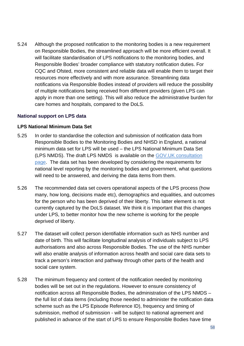5.24 Although the proposed notification to the monitoring bodies is a new requirement on Responsible Bodies, the streamlined approach will be more efficient overall. It will facilitate standardisation of LPS notifications to the monitoring bodies, and Responsible Bodies' broader compliance with statutory notification duties. For CQC and Ofsted, more consistent and reliable data will enable them to target their resources more effectively and with more assurance. Streamlining data notifications via Responsible Bodies instead of providers will reduce the possibility of multiple notifications being received from different providers (given LPS can apply in more than one setting). This will also reduce the administrative burden for care homes and hospitals, compared to the DoLS.

#### **National support on LPS data**

#### **LPS National Minimum Data Set**

- 5.25 In order to standardise the collection and submission of notification data from Responsible Bodies to the Monitoring Bodies and NHSD in England, a national minimum data set for LPS will be used – the LPS National Minimum Data Set (LPS NMDS). The draft LPS NMDS is available on the GOV.UK [consultation](https://www.gov.uk/government/consultations/changes-to-the-mca-code-of-practice-and-implementation-of-the-lps) [page.](https://www.gov.uk/government/consultations/changes-to-the-mca-code-of-practice-and-implementation-of-the-lps) The data set has been developed by considering the requirements for national level reporting by the monitoring bodies and government, what questions will need to be answered, and deriving the data items from them.
- 5.26 The recommended data set covers operational aspects of the LPS process (how many, how long, decisions made etc), demographics and equalities, and outcomes for the person who has been deprived of their liberty. This latter element is not currently captured by the DoLS dataset. We think it is important that this changes under LPS, to better monitor how the new scheme is working for the people deprived of liberty.
- 5.27 The dataset will collect person identifiable information such as NHS number and date of birth. This will facilitate longitudinal analysis of individuals subject to LPS authorisations and also across Responsible Bodies. The use of the NHS number will also enable analysis of information across health and social care data sets to track a person's interaction and pathway through other parts of the health and social care system.
- 5.28 The minimum frequency and content of the notification needed by monitoring bodies will be set out in the regulations. However to ensure consistency of notification across all Responsible Bodies, the administration of the LPS NMDS – the full list of data items (including those needed to administer the notification data scheme such as the LPS Episode Reference ID), frequency and timing of submission, method of submission - will be subject to national agreement and published in advance of the start of LPS to ensure Responsible Bodies have time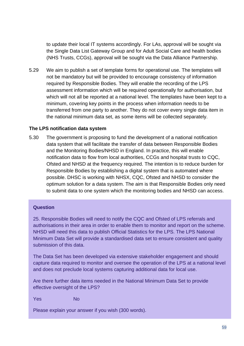to update their local IT systems accordingly. For LAs, approval will be sought via the Single Data List Gateway Group and for Adult Social Care and health bodies (NHS Trusts, CCGs), approval will be sought via the Data Alliance Partnership.

5.29 We aim to publish a set of template forms for operational use. The templates will not be mandatory but will be provided to encourage consistency of information required by Responsible Bodies. They will enable the recording of the LPS assessment information which will be required operationally for authorisation, but which will not all be reported at a national level. The templates have been kept to a minimum, covering key points in the process when information needs to be transferred from one party to another. They do not cover every single data item in the national minimum data set, as some items will be collected separately.

#### **The LPS notification data system**

5.30 The government is proposing to fund the development of a national notification data system that will facilitate the transfer of data between Responsible Bodies and the Monitoring Bodies/NHSD in England. In practice, this will enable notification data to flow from local authorities, CCGs and hospital trusts to CQC, Ofsted and NHSD at the frequency required. The intention is to reduce burden for Responsible Bodies by establishing a digital system that is automated where possible. DHSC is working with NHSX, CQC, Ofsted and NHSD to consider the optimum solution for a data system. The aim is that Responsible Bodies only need to submit data to one system which the monitoring bodies and NHSD can access.

#### **Question**

25. Responsible Bodies will need to notify the CQC and Ofsted of LPS referrals and authorisations in their area in order to enable them to monitor and report on the scheme. NHSD will need this data to publish Official Statistics for the LPS. The LPS National Minimum Data Set will provide a standardised data set to ensure consistent and quality submission of this data.

The Data Set has been developed via extensive stakeholder engagement and should capture data required to monitor and oversee the operation of the LPS at a national level and does not preclude local systems capturing additional data for local use.

Are there further data items needed in the National Minimum Data Set to provide effective oversight of the LPS?

Yes No

Please explain your answer if you wish (300 words).